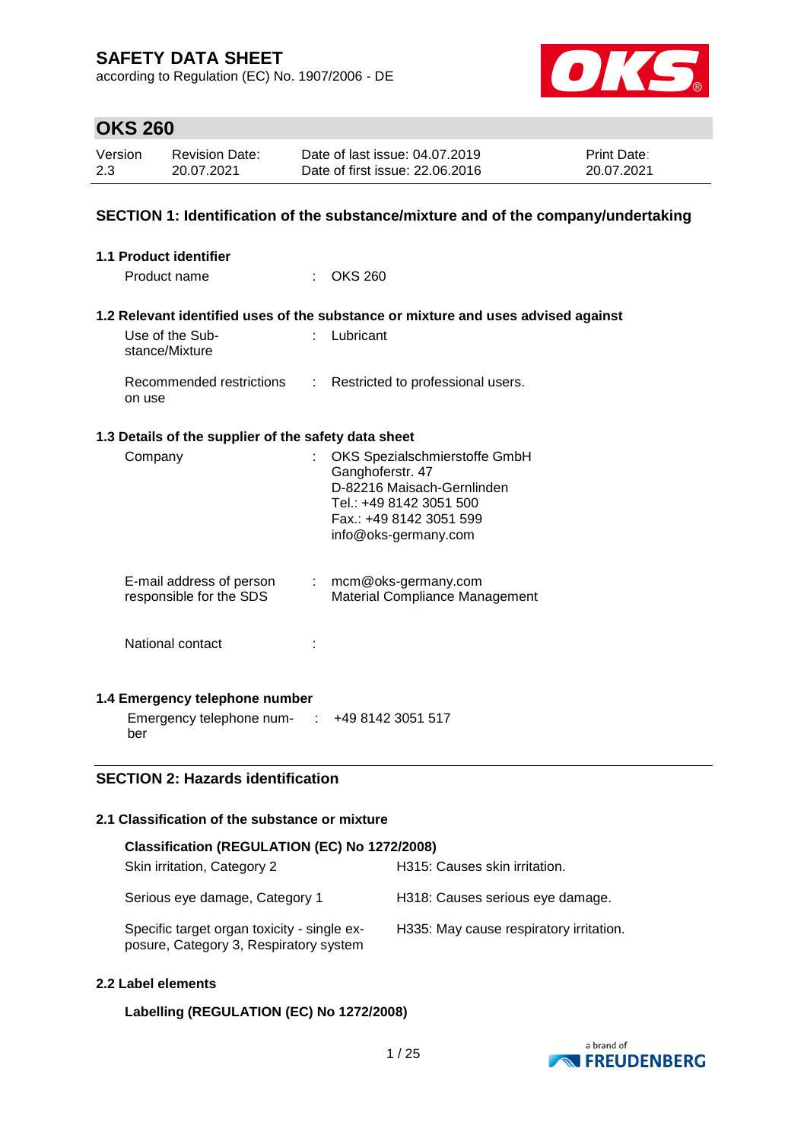according to Regulation (EC) No. 1907/2006 - DE



## **OKS 260**

| Version | <b>Revision Date:</b> | Date of last issue: 04.07.2019  | <b>Print Date:</b> |
|---------|-----------------------|---------------------------------|--------------------|
| 2.3     | 20.07.2021            | Date of first issue: 22,06,2016 | 20.07.2021         |

### **SECTION 1: Identification of the substance/mixture and of the company/undertaking**

| 1.1 Product identifier                                    |                                                                                                                                                               |
|-----------------------------------------------------------|---------------------------------------------------------------------------------------------------------------------------------------------------------------|
| Product name                                              | <b>OKS 260</b><br>÷.                                                                                                                                          |
|                                                           | 1.2 Relevant identified uses of the substance or mixture and uses advised against                                                                             |
| Use of the Sub-<br>stance/Mixture                         | Lubricant<br>÷.                                                                                                                                               |
| Recommended restrictions<br>on use                        | Restricted to professional users.<br>÷                                                                                                                        |
| 1.3 Details of the supplier of the safety data sheet      |                                                                                                                                                               |
| Company                                                   | OKS Spezialschmierstoffe GmbH<br>Ganghoferstr. 47<br>D-82216 Maisach-Gernlinden<br>Tel.: +49 8142 3051 500<br>Fax.: +49 8142 3051 599<br>info@oks-germany.com |
| E-mail address of person<br>responsible for the SDS       | $:$ mcm@oks-germany.com<br>Material Compliance Management                                                                                                     |
| National contact                                          |                                                                                                                                                               |
| 1.4 Emergency telephone number                            |                                                                                                                                                               |
| Emergency telephone num- $\cdot$ +49 8142 3051 517<br>ber |                                                                                                                                                               |

## **SECTION 2: Hazards identification**

#### **2.1 Classification of the substance or mixture**

| Classification (REGULATION (EC) No 1272/2008)                                         |                                         |  |  |  |  |
|---------------------------------------------------------------------------------------|-----------------------------------------|--|--|--|--|
| Skin irritation, Category 2                                                           | H315: Causes skin irritation.           |  |  |  |  |
| Serious eye damage, Category 1                                                        | H318: Causes serious eye damage.        |  |  |  |  |
| Specific target organ toxicity - single ex-<br>posure, Category 3, Respiratory system | H335: May cause respiratory irritation. |  |  |  |  |

#### **2.2 Label elements**

### **Labelling (REGULATION (EC) No 1272/2008)**

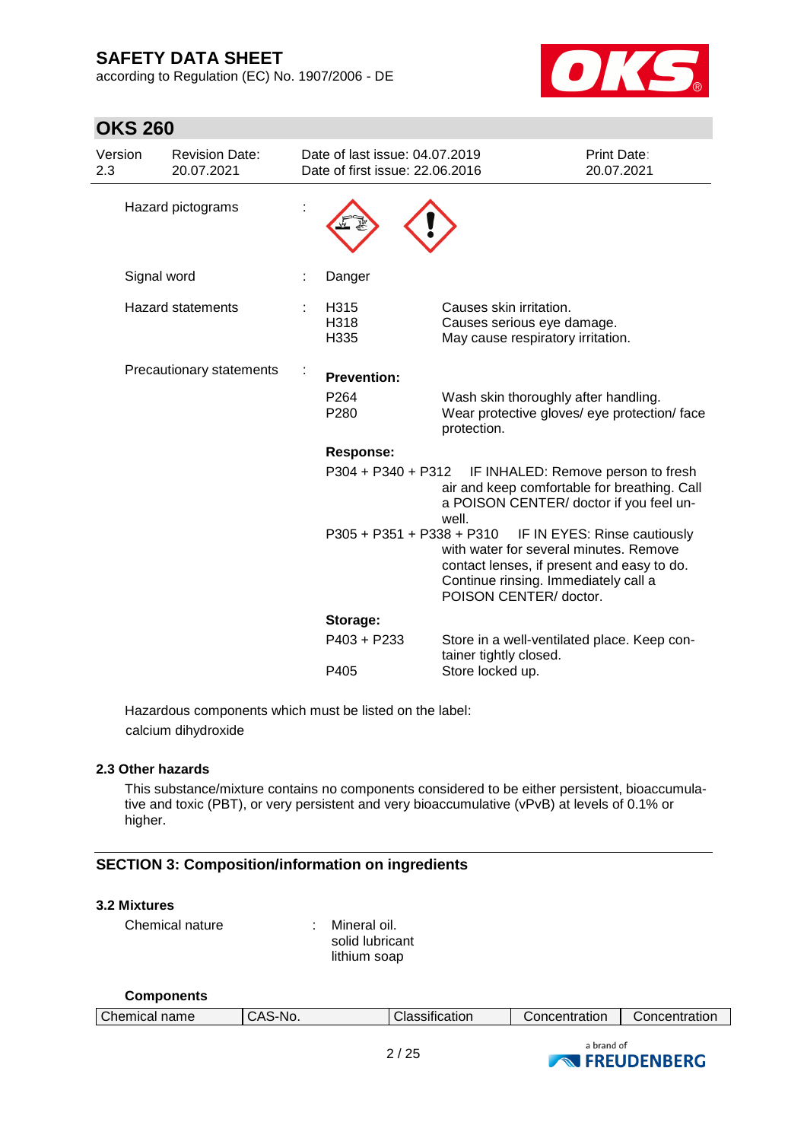**OKS 260**

according to Regulation (EC) No. 1907/2006 - DE



| Version<br>2.3 | <b>Revision Date:</b><br>20.07.2021 | Date of last issue: 04.07.2019<br>Date of first issue: 22.06.2016 |                                                                                                                                                        | <b>Print Date:</b><br>20.07.2021   |
|----------------|-------------------------------------|-------------------------------------------------------------------|--------------------------------------------------------------------------------------------------------------------------------------------------------|------------------------------------|
|                | Hazard pictograms                   |                                                                   |                                                                                                                                                        |                                    |
|                | Signal word                         | Danger                                                            |                                                                                                                                                        |                                    |
|                | <b>Hazard statements</b>            | H315<br>H318<br>H335                                              | Causes skin irritation.<br>Causes serious eye damage.<br>May cause respiratory irritation.                                                             |                                    |
|                | Precautionary statements            | <b>Prevention:</b><br>P <sub>264</sub><br>P <sub>280</sub>        | Wash skin thoroughly after handling.<br>Wear protective gloves/ eye protection/ face<br>protection.                                                    |                                    |
|                |                                     | <b>Response:</b>                                                  |                                                                                                                                                        |                                    |
|                |                                     | P304 + P340 + P312                                                | air and keep comfortable for breathing. Call<br>a POISON CENTER/ doctor if you feel un-<br>well.                                                       | IF INHALED: Remove person to fresh |
|                |                                     | P305 + P351 + P338 + P310                                         | with water for several minutes. Remove<br>contact lenses, if present and easy to do.<br>Continue rinsing. Immediately call a<br>POISON CENTER/ doctor. | IF IN EYES: Rinse cautiously       |
|                |                                     | Storage:                                                          |                                                                                                                                                        |                                    |
|                |                                     | P403 + P233                                                       | Store in a well-ventilated place. Keep con-<br>tainer tightly closed.                                                                                  |                                    |
|                |                                     | P405                                                              | Store locked up.                                                                                                                                       |                                    |

Hazardous components which must be listed on the label: calcium dihydroxide

### **2.3 Other hazards**

This substance/mixture contains no components considered to be either persistent, bioaccumulative and toxic (PBT), or very persistent and very bioaccumulative (vPvB) at levels of 0.1% or higher.

### **SECTION 3: Composition/information on ingredients**

### **3.2 Mixtures**

Chemical nature : Mineral oil.

solid lubricant lithium soap

| <b>Components</b>    |         |                       |               |                                            |
|----------------------|---------|-----------------------|---------------|--------------------------------------------|
| <b>Chemical name</b> | CAS-No. | <b>Classification</b> | Concentration | Concentration                              |
|                      |         | 2/25                  | a brand of    | $\sim$ $\blacksquare$ FDFIIDENDED $\Omega$ |

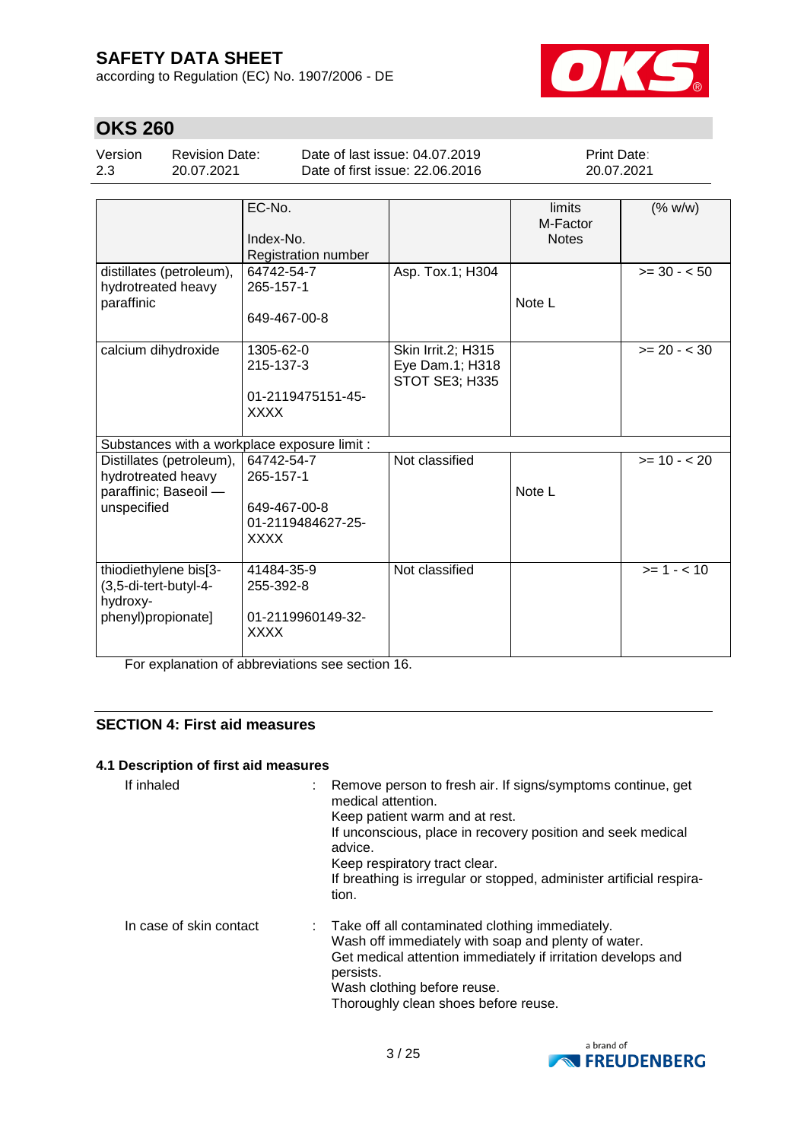according to Regulation (EC) No. 1907/2006 - DE



# **OKS 260**

| Version | <b>Revision Date:</b> |
|---------|-----------------------|
| 2.3     | 20.07.2021            |

Date of last issue: 04.07.2019 Date of first issue: 22.06.2016 Print Date: 20.07.2021

|                                                                                        | EC-No.<br>Index-No.<br>Registration number                                  |                                                                | limits<br>M-Factor<br><b>Notes</b> | (% w/w)        |
|----------------------------------------------------------------------------------------|-----------------------------------------------------------------------------|----------------------------------------------------------------|------------------------------------|----------------|
| distillates (petroleum),<br>hydrotreated heavy<br>paraffinic                           | 64742-54-7<br>265-157-1<br>649-467-00-8                                     | Asp. Tox.1; H304                                               | Note L                             | $>= 30 - 50$   |
| calcium dihydroxide                                                                    | 1305-62-0<br>215-137-3<br>01-2119475151-45-<br><b>XXXX</b>                  | Skin Irrit.2; H315<br>Eye Dam.1; H318<br><b>STOT SE3; H335</b> |                                    | $>= 20 - < 30$ |
| Substances with a workplace exposure limit :                                           |                                                                             |                                                                |                                    |                |
| Distillates (petroleum),<br>hydrotreated heavy<br>paraffinic; Baseoil -<br>unspecified | 64742-54-7<br>265-157-1<br>649-467-00-8<br>01-2119484627-25-<br><b>XXXX</b> | Not classified                                                 | Note L                             | $>= 10 - 20$   |
| thiodiethylene bis[3-<br>(3,5-di-tert-butyl-4-<br>hydroxy-<br>phenyl)propionate]       | 41484-35-9<br>255-392-8<br>01-2119960149-32-<br><b>XXXX</b>                 | Not classified                                                 |                                    | $>= 1 - < 10$  |

For explanation of abbreviations see section 16.

### **SECTION 4: First aid measures**

### **4.1 Description of first aid measures**

| If inhaled              | : Remove person to fresh air. If signs/symptoms continue, get<br>medical attention.<br>Keep patient warm and at rest.<br>If unconscious, place in recovery position and seek medical<br>advice.<br>Keep respiratory tract clear.<br>If breathing is irregular or stopped, administer artificial respira-<br>tion. |
|-------------------------|-------------------------------------------------------------------------------------------------------------------------------------------------------------------------------------------------------------------------------------------------------------------------------------------------------------------|
| In case of skin contact | : Take off all contaminated clothing immediately.<br>Wash off immediately with soap and plenty of water.<br>Get medical attention immediately if irritation develops and<br>persists.<br>Wash clothing before reuse.<br>Thoroughly clean shoes before reuse.                                                      |

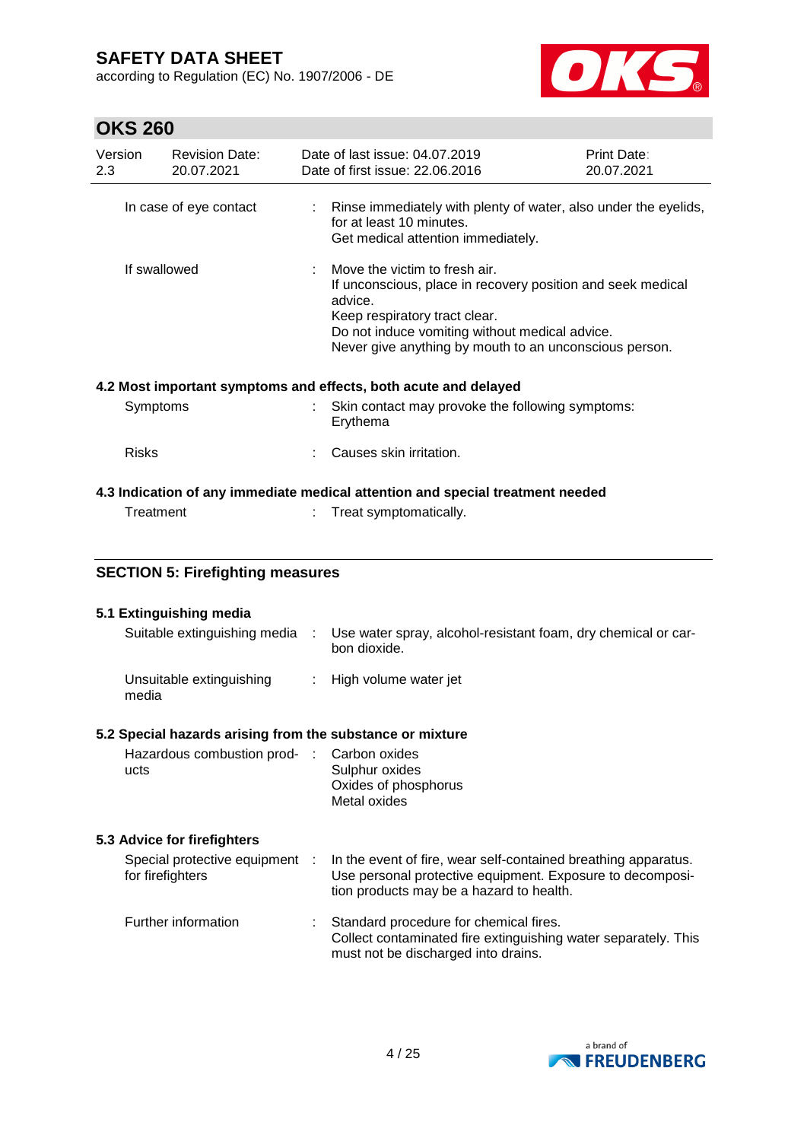according to Regulation (EC) No. 1907/2006 - DE



# **OKS 260**

| UNJ ZUU        |                                                           |                           |                                                                                                                                                                                                                                                      |                           |  |  |  |
|----------------|-----------------------------------------------------------|---------------------------|------------------------------------------------------------------------------------------------------------------------------------------------------------------------------------------------------------------------------------------------------|---------------------------|--|--|--|
| Version<br>2.3 | <b>Revision Date:</b><br>20.07.2021                       |                           | Date of last issue: 04.07.2019<br>Date of first issue: 22,06,2016                                                                                                                                                                                    | Print Date:<br>20.07.2021 |  |  |  |
|                | In case of eye contact                                    | $\mathbb{R}^{\mathbb{Z}}$ | Rinse immediately with plenty of water, also under the eyelids,<br>for at least 10 minutes.<br>Get medical attention immediately.                                                                                                                    |                           |  |  |  |
| If swallowed   |                                                           |                           | Move the victim to fresh air.<br>If unconscious, place in recovery position and seek medical<br>advice.<br>Keep respiratory tract clear.<br>Do not induce vomiting without medical advice.<br>Never give anything by mouth to an unconscious person. |                           |  |  |  |
|                |                                                           |                           | 4.2 Most important symptoms and effects, both acute and delayed                                                                                                                                                                                      |                           |  |  |  |
|                | Symptoms                                                  |                           | Skin contact may provoke the following symptoms:<br>Erythema                                                                                                                                                                                         |                           |  |  |  |
| <b>Risks</b>   |                                                           |                           | Causes skin irritation.                                                                                                                                                                                                                              |                           |  |  |  |
|                |                                                           |                           | 4.3 Indication of any immediate medical attention and special treatment needed                                                                                                                                                                       |                           |  |  |  |
|                | Treatment                                                 | ÷.                        | Treat symptomatically.                                                                                                                                                                                                                               |                           |  |  |  |
|                | <b>SECTION 5: Firefighting measures</b>                   |                           |                                                                                                                                                                                                                                                      |                           |  |  |  |
|                | 5.1 Extinguishing media                                   |                           |                                                                                                                                                                                                                                                      |                           |  |  |  |
|                | Suitable extinguishing media                              | ÷                         | Use water spray, alcohol-resistant foam, dry chemical or car-<br>bon dioxide.                                                                                                                                                                        |                           |  |  |  |
|                | Unsuitable extinguishing<br>media                         |                           | : High volume water jet                                                                                                                                                                                                                              |                           |  |  |  |
|                | 5.2 Special hazards arising from the substance or mixture |                           |                                                                                                                                                                                                                                                      |                           |  |  |  |
|                | Hazardous combustion prod- Carbon oxides                  |                           |                                                                                                                                                                                                                                                      |                           |  |  |  |

| Hazardous combustion prod- : Carbon oxides |                      |
|--------------------------------------------|----------------------|
| ucts                                       | Sulphur oxides       |
|                                            | Oxides of phosphorus |
|                                            | Metal oxides         |
|                                            |                      |

## **5.3 Advice for firefighters**

| Special protective equipment :<br>for firefighters |    | In the event of fire, wear self-contained breathing apparatus.<br>Use personal protective equipment. Exposure to decomposi-<br>tion products may be a hazard to health. |
|----------------------------------------------------|----|-------------------------------------------------------------------------------------------------------------------------------------------------------------------------|
| Further information                                | ÷. | Standard procedure for chemical fires.<br>Collect contaminated fire extinguishing water separately. This<br>must not be discharged into drains.                         |

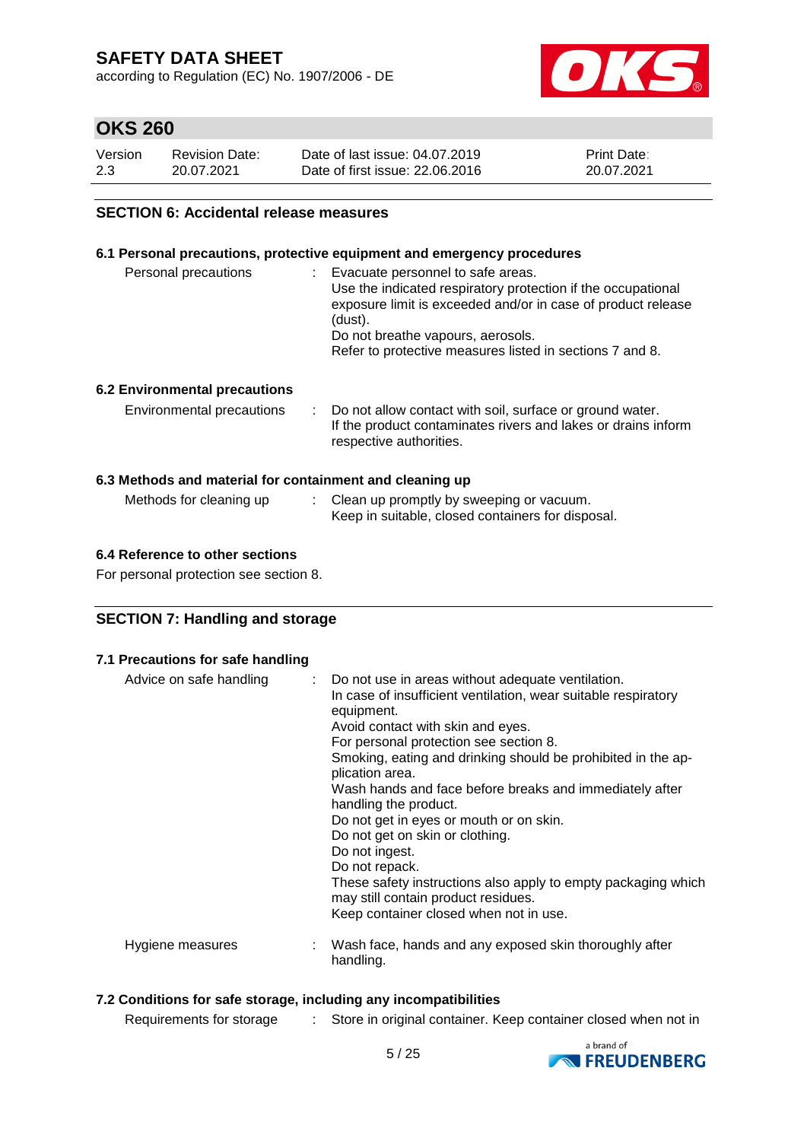according to Regulation (EC) No. 1907/2006 - DE



## **OKS 260**

| Version | <b>Revision Date:</b> | Date of last issue: 04.07.2019  | <b>Print Date:</b> |
|---------|-----------------------|---------------------------------|--------------------|
| 2.3     | 20.07.2021            | Date of first issue: 22,06,2016 | 20.07.2021         |

### **SECTION 6: Accidental release measures**

### **6.1 Personal precautions, protective equipment and emergency procedures**

| Personal precautions                                     | : Evacuate personnel to safe areas.<br>Use the indicated respiratory protection if the occupational<br>exposure limit is exceeded and/or in case of product release<br>(dust).<br>Do not breathe vapours, aerosols.<br>Refer to protective measures listed in sections 7 and 8. |
|----------------------------------------------------------|---------------------------------------------------------------------------------------------------------------------------------------------------------------------------------------------------------------------------------------------------------------------------------|
| <b>6.2 Environmental precautions</b>                     |                                                                                                                                                                                                                                                                                 |
| Environmental precautions                                | : Do not allow contact with soil, surface or ground water.<br>If the product contaminates rivers and lakes or drains inform<br>respective authorities.                                                                                                                          |
| 6.3 Methods and material for containment and cleaning up | <b>Matter to the contract of the contract of <math>\bigcap_{i=1}^n L_i</math> is a contract of the contract of the contract of the contract of the contract of the contract of the contract of the contract of the contract of the contract of th</b>                           |

| Methods for cleaning up | Clean up promptly by sweeping or vacuum.          |
|-------------------------|---------------------------------------------------|
|                         | Keep in suitable, closed containers for disposal. |

### **6.4 Reference to other sections**

For personal protection see section 8.

### **SECTION 7: Handling and storage**

### **7.1 Precautions for safe handling**

| Advice on safe handling | : Do not use in areas without adequate ventilation.<br>In case of insufficient ventilation, wear suitable respiratory<br>equipment.<br>Avoid contact with skin and eyes.<br>For personal protection see section 8.<br>Smoking, eating and drinking should be prohibited in the ap-<br>plication area.<br>Wash hands and face before breaks and immediately after<br>handling the product.<br>Do not get in eyes or mouth or on skin.<br>Do not get on skin or clothing.<br>Do not ingest.<br>Do not repack.<br>These safety instructions also apply to empty packaging which<br>may still contain product residues.<br>Keep container closed when not in use. |
|-------------------------|---------------------------------------------------------------------------------------------------------------------------------------------------------------------------------------------------------------------------------------------------------------------------------------------------------------------------------------------------------------------------------------------------------------------------------------------------------------------------------------------------------------------------------------------------------------------------------------------------------------------------------------------------------------|
| Hygiene measures        | Wash face, hands and any exposed skin thoroughly after<br>handling.                                                                                                                                                                                                                                                                                                                                                                                                                                                                                                                                                                                           |

### **7.2 Conditions for safe storage, including any incompatibilities**

Requirements for storage : Store in original container. Keep container closed when not in

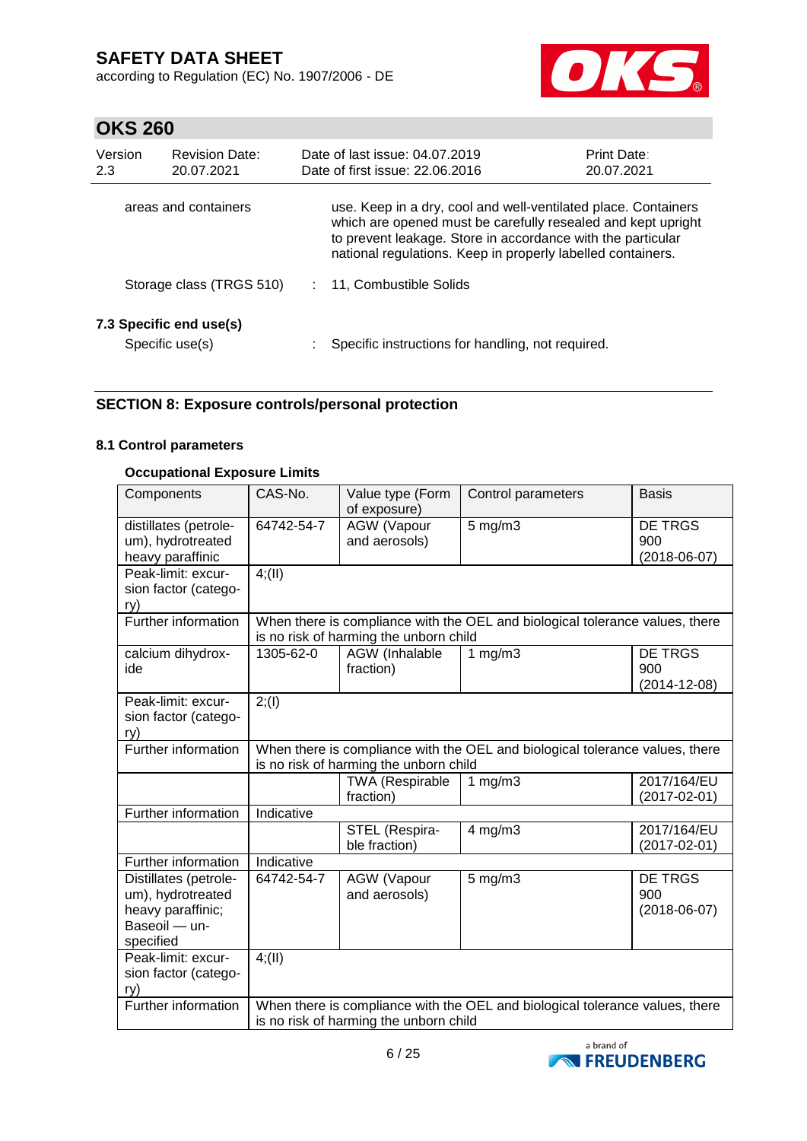according to Regulation (EC) No. 1907/2006 - DE



# **OKS 260**

| Version<br>2.3 | <b>Revision Date:</b><br>20.07.2021        | Date of last issue: 04.07.2019<br>Date of first issue: 22.06.2016                                                                                                                                                                                            | <b>Print Date:</b><br>20.07.2021 |
|----------------|--------------------------------------------|--------------------------------------------------------------------------------------------------------------------------------------------------------------------------------------------------------------------------------------------------------------|----------------------------------|
|                | areas and containers                       | use. Keep in a dry, cool and well-ventilated place. Containers<br>which are opened must be carefully resealed and kept upright<br>to prevent leakage. Store in accordance with the particular<br>national regulations. Keep in properly labelled containers. |                                  |
|                | Storage class (TRGS 510)                   | 11, Combustible Solids                                                                                                                                                                                                                                       |                                  |
|                | 7.3 Specific end use(s)<br>Specific use(s) | Specific instructions for handling, not required.                                                                                                                                                                                                            |                                  |

### **SECTION 8: Exposure controls/personal protection**

### **8.1 Control parameters**

### **Occupational Exposure Limits**

| Components                                                                                    | CAS-No.                                                                                                                | Value type (Form<br>of exposure)                                                                                       | Control parameters                                                           | <b>Basis</b>                                |  |  |  |  |
|-----------------------------------------------------------------------------------------------|------------------------------------------------------------------------------------------------------------------------|------------------------------------------------------------------------------------------------------------------------|------------------------------------------------------------------------------|---------------------------------------------|--|--|--|--|
| distillates (petrole-<br>um), hydrotreated<br>heavy paraffinic                                | 64742-54-7                                                                                                             | <b>AGW</b> (Vapour<br>and aerosols)                                                                                    | $5$ mg/m $3$                                                                 | <b>DE TRGS</b><br>900<br>$(2018 - 06 - 07)$ |  |  |  |  |
| Peak-limit: excur-<br>sion factor (catego-<br>ry)                                             | 4(11)                                                                                                                  |                                                                                                                        |                                                                              |                                             |  |  |  |  |
| <b>Further information</b>                                                                    |                                                                                                                        | is no risk of harming the unborn child                                                                                 | When there is compliance with the OEL and biological tolerance values, there |                                             |  |  |  |  |
| calcium dihydrox-<br>ide                                                                      | 1305-62-0                                                                                                              | AGW (Inhalable<br>fraction)                                                                                            | 1 $mg/m3$                                                                    | <b>DE TRGS</b><br>900<br>$(2014 - 12 - 08)$ |  |  |  |  |
| Peak-limit: excur-<br>sion factor (catego-<br>ry)                                             | 2; (1)                                                                                                                 |                                                                                                                        |                                                                              |                                             |  |  |  |  |
| Further information                                                                           |                                                                                                                        | When there is compliance with the OEL and biological tolerance values, there<br>is no risk of harming the unborn child |                                                                              |                                             |  |  |  |  |
|                                                                                               |                                                                                                                        | 2017/164/EU<br><b>TWA (Respirable</b><br>1 $mg/m3$<br>$(2017 - 02 - 01)$<br>fraction)                                  |                                                                              |                                             |  |  |  |  |
| Further information                                                                           | Indicative                                                                                                             |                                                                                                                        |                                                                              |                                             |  |  |  |  |
|                                                                                               |                                                                                                                        | STEL (Respira-<br>ble fraction)                                                                                        | $4$ mg/m $3$                                                                 | 2017/164/EU<br>$(2017 - 02 - 01)$           |  |  |  |  |
| Further information                                                                           | Indicative                                                                                                             |                                                                                                                        |                                                                              |                                             |  |  |  |  |
| Distillates (petrole-<br>um), hydrotreated<br>heavy paraffinic;<br>Baseoil - un-<br>specified | 64742-54-7                                                                                                             | <b>AGW</b> (Vapour<br>and aerosols)                                                                                    | $5$ mg/m $3$                                                                 | DE TRGS<br>900<br>$(2018-06-07)$            |  |  |  |  |
| Peak-limit: excur-<br>sion factor (catego-<br>ry)                                             | 4(11)                                                                                                                  |                                                                                                                        |                                                                              |                                             |  |  |  |  |
| Further information                                                                           | When there is compliance with the OEL and biological tolerance values, there<br>is no risk of harming the unborn child |                                                                                                                        |                                                                              |                                             |  |  |  |  |

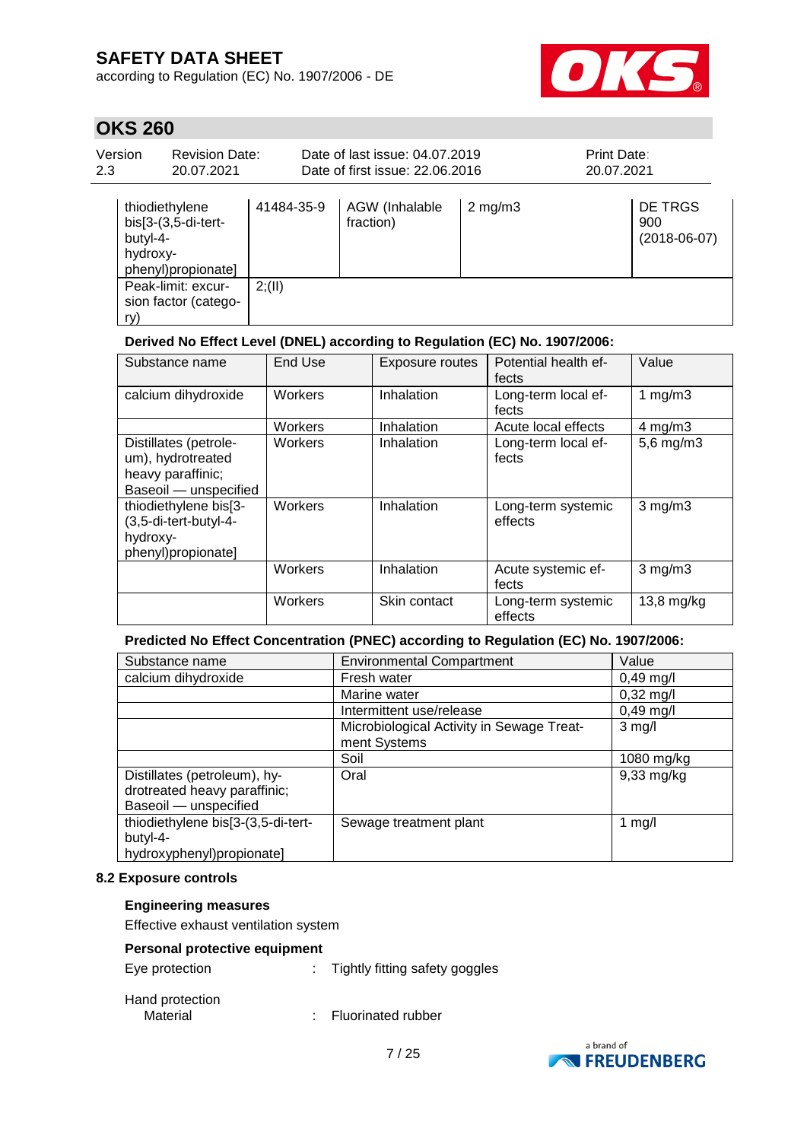according to Regulation (EC) No. 1907/2006 - DE



## **OKS 260**

| Version<br>2.3 | <b>Revision Date:</b><br>20.07.2021                                                 |            | Date of last issue: 04.07.2019<br>Date of first issue: 22.06.2016 |                  | <b>Print Date:</b><br>20.07.2021 |                                  |
|----------------|-------------------------------------------------------------------------------------|------------|-------------------------------------------------------------------|------------------|----------------------------------|----------------------------------|
|                | thiodiethylene<br>bis[3-(3,5-di-tert-<br>butyl-4-<br>hydroxy-<br>phenyl)propionate] | 41484-35-9 | AGW (Inhalable<br>fraction)                                       | $2 \text{ mg/m}$ |                                  | DE TRGS<br>900<br>$(2018-06-07)$ |
| ry)            | Peak-limit: excur-<br>sion factor (catego-                                          | 2(11)      |                                                                   |                  |                                  |                                  |

### **Derived No Effect Level (DNEL) according to Regulation (EC) No. 1907/2006:**

| Substance name                                                                           | End Use        | <b>Exposure routes</b> | Potential health ef-<br>fects | Value          |
|------------------------------------------------------------------------------------------|----------------|------------------------|-------------------------------|----------------|
| calcium dihydroxide                                                                      | <b>Workers</b> | Inhalation             | Long-term local ef-<br>fects  | 1 $mg/m3$      |
|                                                                                          | Workers        | Inhalation             | Acute local effects           | $4$ mg/m $3$   |
| Distillates (petrole-<br>um), hydrotreated<br>heavy paraffinic;<br>Baseoil - unspecified | Workers        | Inhalation             | Long-term local ef-<br>fects  | $5,6$ mg/m $3$ |
| thiodiethylene bis[3-<br>(3,5-di-tert-butyl-4-<br>hydroxy-<br>phenyl)propionate]         | <b>Workers</b> | Inhalation             | Long-term systemic<br>effects | $3$ mg/m $3$   |
|                                                                                          | Workers        | Inhalation             | Acute systemic ef-<br>fects   | $3$ mg/m $3$   |
|                                                                                          | Workers        | Skin contact           | Long-term systemic<br>effects | $13,8$ mg/kg   |

### **Predicted No Effect Concentration (PNEC) according to Regulation (EC) No. 1907/2006:**

| Substance name                     | <b>Environmental Compartment</b>          | Value               |
|------------------------------------|-------------------------------------------|---------------------|
| calcium dihydroxide                | Fresh water                               | $0,49$ mg/l         |
|                                    | Marine water                              | $0,32 \text{ mg/l}$ |
|                                    | Intermittent use/release                  | $0,49$ mg/l         |
|                                    | Microbiological Activity in Sewage Treat- | $3$ mg/l            |
|                                    | ment Systems                              |                     |
|                                    | Soil                                      | 1080 mg/kg          |
| Distillates (petroleum), hy-       | Oral                                      | $9,33$ mg/kg        |
| drotreated heavy paraffinic;       |                                           |                     |
| Baseoil - unspecified              |                                           |                     |
| thiodiethylene bis[3-(3,5-di-tert- | Sewage treatment plant                    | 1 $mg/l$            |
| butyl-4-                           |                                           |                     |
| hydroxyphenyl)propionate]          |                                           |                     |

### **8.2 Exposure controls**

### **Engineering measures**

Effective exhaust ventilation system

### **Personal protective equipment**

| Eye protection |  | Tightly fitting safety goggles |  |
|----------------|--|--------------------------------|--|
|----------------|--|--------------------------------|--|

Hand protection<br>Material

: Fluorinated rubber

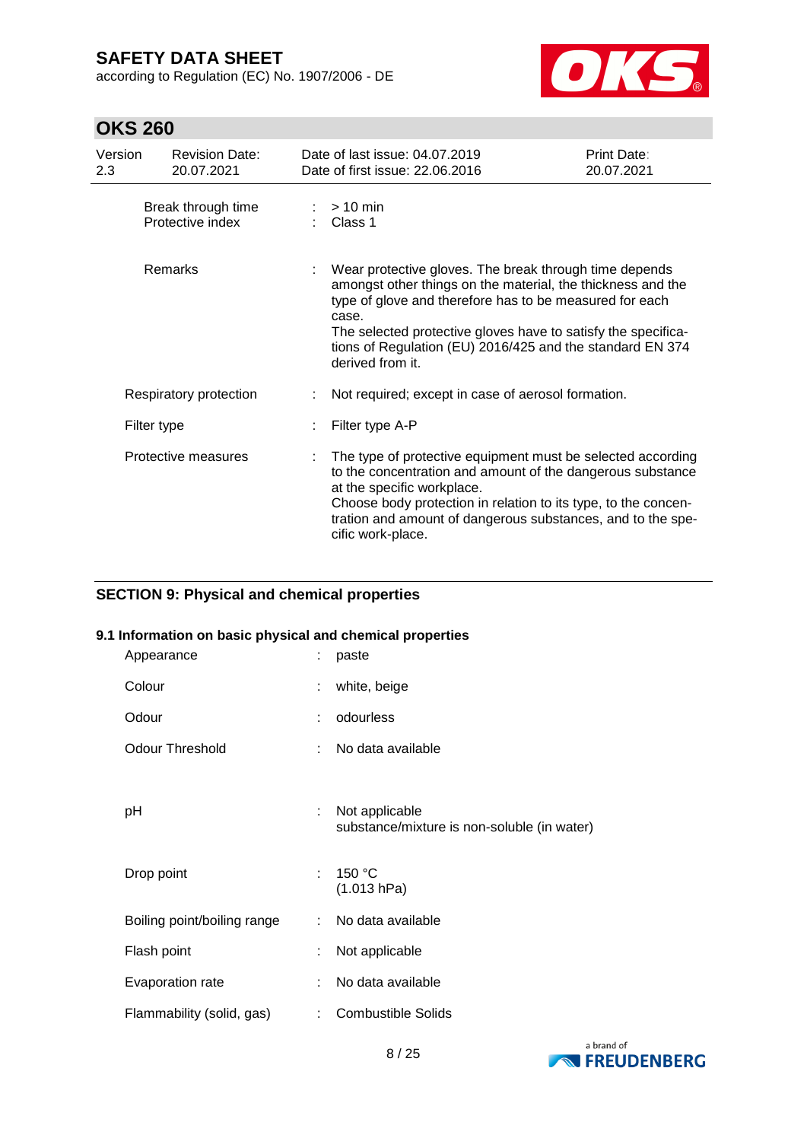according to Regulation (EC) No. 1907/2006 - DE



## **OKS 260**

| Version<br>2.3 | <b>Revision Date:</b><br>20.07.2021    | Date of last issue: 04.07.2019<br>Date of first issue: 22.06.2016                                                                                                                                                                                                                                                                           | Print Date:<br>20.07.2021 |  |  |
|----------------|----------------------------------------|---------------------------------------------------------------------------------------------------------------------------------------------------------------------------------------------------------------------------------------------------------------------------------------------------------------------------------------------|---------------------------|--|--|
|                | Break through time<br>Protective index | $>10$ min<br>Class 1                                                                                                                                                                                                                                                                                                                        |                           |  |  |
| Remarks        |                                        | Wear protective gloves. The break through time depends<br>amongst other things on the material, the thickness and the<br>type of glove and therefore has to be measured for each<br>case.<br>The selected protective gloves have to satisfy the specifica-<br>tions of Regulation (EU) 2016/425 and the standard EN 374<br>derived from it. |                           |  |  |
|                | Respiratory protection                 | Not required; except in case of aerosol formation.                                                                                                                                                                                                                                                                                          |                           |  |  |
| Filter type    |                                        | Filter type A-P                                                                                                                                                                                                                                                                                                                             |                           |  |  |
|                | Protective measures                    | The type of protective equipment must be selected according<br>to the concentration and amount of the dangerous substance<br>at the specific workplace.<br>Choose body protection in relation to its type, to the concen-<br>tration and amount of dangerous substances, and to the spe-<br>cific work-place.                               |                           |  |  |

### **SECTION 9: Physical and chemical properties**

### **9.1 Information on basic physical and chemical properties**

| Appearance                  |    | paste                                                         |
|-----------------------------|----|---------------------------------------------------------------|
| Colour                      |    | white, beige                                                  |
| Odour                       |    | odourless                                                     |
| <b>Odour Threshold</b>      |    | No data available                                             |
| рH                          | ÷  | Not applicable<br>substance/mixture is non-soluble (in water) |
| Drop point                  | t. | 150 °C<br>(1.013 hPa)                                         |
| Boiling point/boiling range | t. | No data available                                             |
| Flash point                 |    | Not applicable                                                |
| Evaporation rate            |    | No data available                                             |
| Flammability (solid, gas)   |    | <b>Combustible Solids</b>                                     |

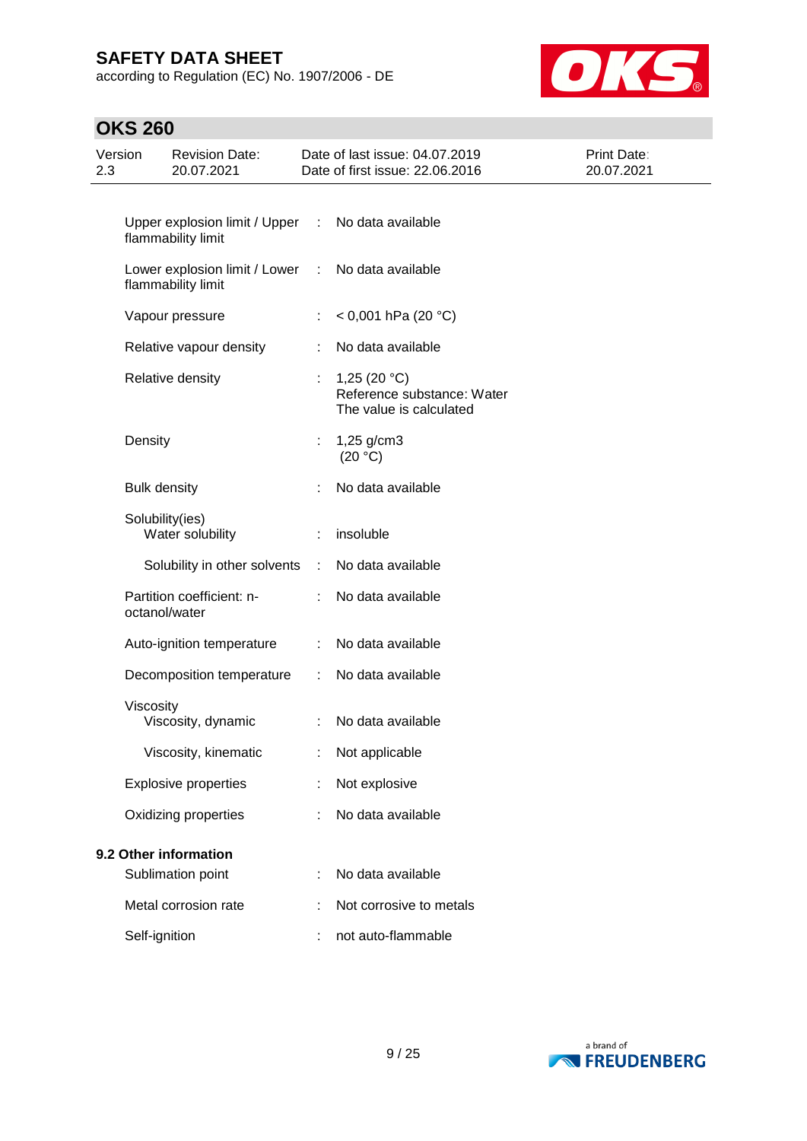according to Regulation (EC) No. 1907/2006 - DE



| 2.3 | Version             | <b>Revision Date:</b><br>20.07.2021                 |                      | Date of last issue: 04.07.2019<br>Date of first issue: 22.06.2016       | Print Date:<br>20.07.2021 |
|-----|---------------------|-----------------------------------------------------|----------------------|-------------------------------------------------------------------------|---------------------------|
|     |                     |                                                     |                      |                                                                         |                           |
|     |                     | Upper explosion limit / Upper<br>flammability limit | ÷                    | No data available                                                       |                           |
|     |                     | Lower explosion limit / Lower<br>flammability limit | ÷                    | No data available                                                       |                           |
|     |                     | Vapour pressure                                     | ÷                    | < 0,001 hPa (20 °C)                                                     |                           |
|     |                     | Relative vapour density                             | ÷                    | No data available                                                       |                           |
|     |                     | Relative density                                    |                      | 1,25 $(20 °C)$<br>Reference substance: Water<br>The value is calculated |                           |
|     | Density             |                                                     | ÷.                   | $1,25$ g/cm3<br>(20 °C)                                                 |                           |
|     | <b>Bulk density</b> |                                                     | ÷                    | No data available                                                       |                           |
|     |                     | Solubility(ies)<br>Water solubility                 | ÷                    | insoluble                                                               |                           |
|     |                     | Solubility in other solvents                        | $\mathbb{Z}^n$       | No data available                                                       |                           |
|     |                     | Partition coefficient: n-<br>octanol/water          |                      | No data available                                                       |                           |
|     |                     | Auto-ignition temperature                           | ÷                    | No data available                                                       |                           |
|     |                     | Decomposition temperature                           | $\ddot{\phantom{a}}$ | No data available                                                       |                           |
|     | Viscosity           | Viscosity, dynamic                                  | ÷                    | No data available                                                       |                           |
|     |                     | Viscosity, kinematic                                |                      | Not applicable                                                          |                           |
|     |                     | <b>Explosive properties</b>                         |                      | Not explosive                                                           |                           |
|     |                     | Oxidizing properties                                |                      | No data available                                                       |                           |
|     |                     | 9.2 Other information                               |                      |                                                                         |                           |
|     |                     | Sublimation point                                   |                      | No data available                                                       |                           |
|     |                     | Metal corrosion rate                                |                      | Not corrosive to metals                                                 |                           |
|     | Self-ignition       |                                                     |                      | not auto-flammable                                                      |                           |

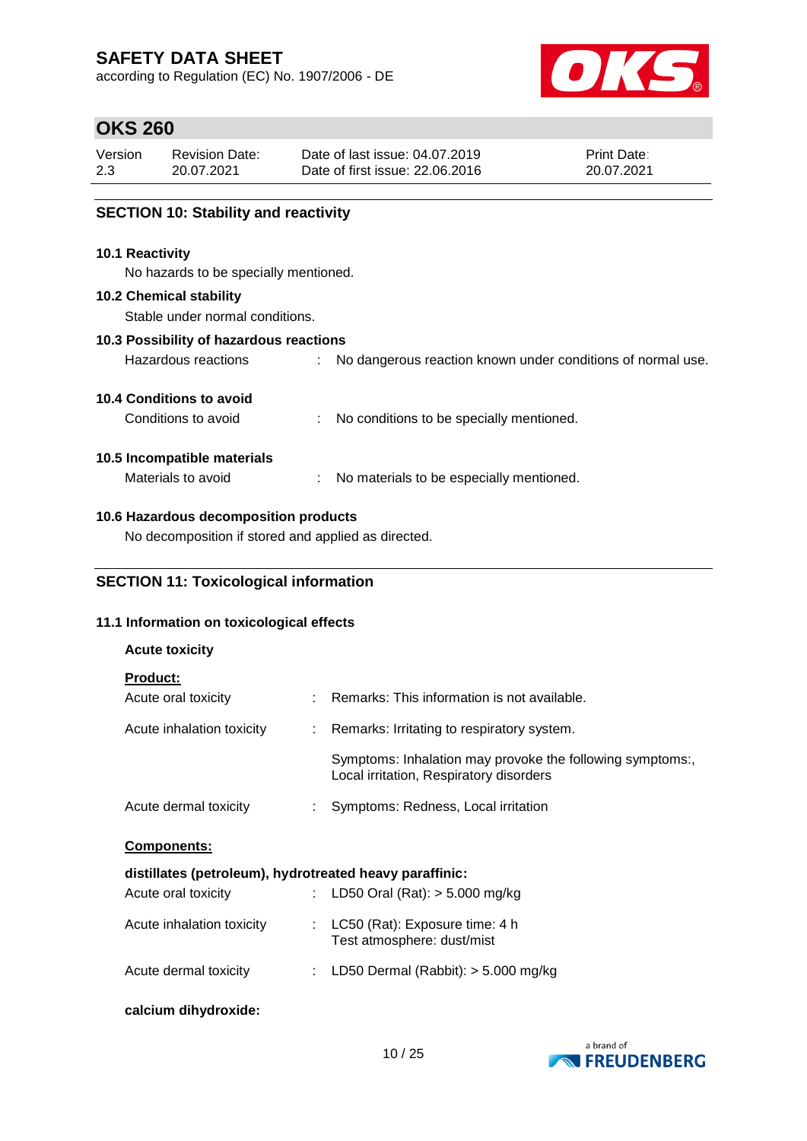according to Regulation (EC) No. 1907/2006 - DE



## **OKS 260**

| Version | <b>Revision Date:</b> | Date of last issue: 04.07.2019  | <b>Print Date:</b> |
|---------|-----------------------|---------------------------------|--------------------|
| 2.3     | 20.07.2021            | Date of first issue: 22.06.2016 | 20.07.2021         |
|         |                       |                                 |                    |

### **SECTION 10: Stability and reactivity**

### **10.1 Reactivity**

No hazards to be specially mentioned.

#### **10.2 Chemical stability**

Stable under normal conditions.

### **10.3 Possibility of hazardous reactions**

| Hazardous reactions |  |  |  |  |  |  | No dangerous reaction known under conditions of normal use. |  |
|---------------------|--|--|--|--|--|--|-------------------------------------------------------------|--|
|---------------------|--|--|--|--|--|--|-------------------------------------------------------------|--|

### **10.4 Conditions to avoid**

| Conditions to avoid |  | No conditions to be specially mentioned. |
|---------------------|--|------------------------------------------|
|---------------------|--|------------------------------------------|

### **10.5 Incompatible materials**

**Acute toxicity**

Materials to avoid : No materials to be especially mentioned.

### **10.6 Hazardous decomposition products**

No decomposition if stored and applied as directed.

## **SECTION 11: Toxicological information**

### **11.1 Information on toxicological effects**

| <b>Product:</b>                                         |                                                                                                      |
|---------------------------------------------------------|------------------------------------------------------------------------------------------------------|
| Acute oral toxicity                                     | Remarks: This information is not available.                                                          |
| Acute inhalation toxicity                               | : Remarks: Irritating to respiratory system.                                                         |
|                                                         | Symptoms: Inhalation may provoke the following symptoms:,<br>Local irritation, Respiratory disorders |
| Acute dermal toxicity                                   | : Symptoms: Redness, Local irritation                                                                |
| Components:                                             |                                                                                                      |
| distillates (petroleum), hydrotreated heavy paraffinic: |                                                                                                      |
| Acute oral toxicity                                     | : LD50 Oral (Rat): $>$ 5.000 mg/kg                                                                   |
| Acute inhalation toxicity                               | : LC50 (Rat): Exposure time: 4 h<br>Test atmosphere: dust/mist                                       |
| Acute dermal toxicity                                   | : LD50 Dermal (Rabbit): $>$ 5.000 mg/kg                                                              |
| calcium dihydroxide:                                    |                                                                                                      |

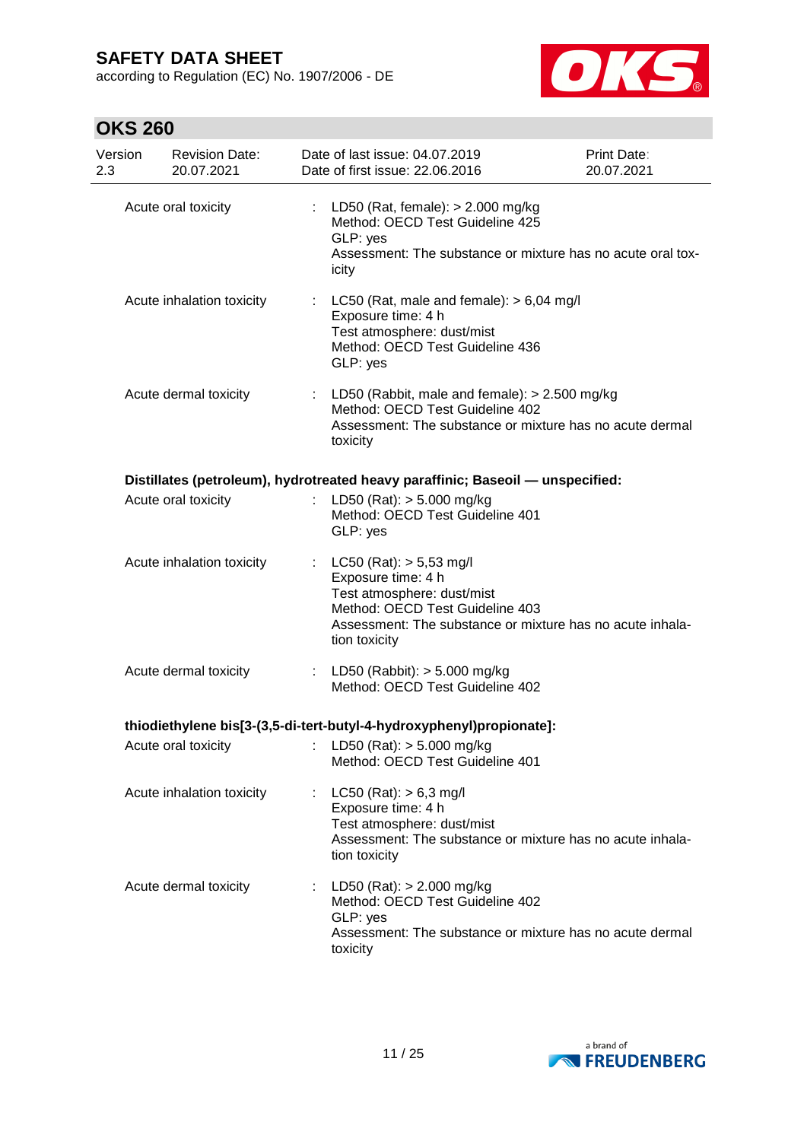according to Regulation (EC) No. 1907/2006 - DE



| Version<br>2.3 |                     | <b>Revision Date:</b><br>20.07.2021 | Date of last issue: 04.07.2019<br>Date of first issue: 22.06.2016                                                                                                                                   | Print Date:<br>20.07.2021 |
|----------------|---------------------|-------------------------------------|-----------------------------------------------------------------------------------------------------------------------------------------------------------------------------------------------------|---------------------------|
|                | Acute oral toxicity |                                     | LD50 (Rat, female): > 2.000 mg/kg<br>Method: OECD Test Guideline 425<br>GLP: yes<br>Assessment: The substance or mixture has no acute oral tox-<br>icity                                            |                           |
|                |                     | Acute inhalation toxicity           | : LC50 (Rat, male and female): $> 6,04$ mg/l<br>Exposure time: 4 h<br>Test atmosphere: dust/mist<br>Method: OECD Test Guideline 436<br>GLP: yes                                                     |                           |
|                |                     | Acute dermal toxicity               | : LD50 (Rabbit, male and female): $> 2.500$ mg/kg<br>Method: OECD Test Guideline 402<br>Assessment: The substance or mixture has no acute dermal<br>toxicity                                        |                           |
|                |                     |                                     | Distillates (petroleum), hydrotreated heavy paraffinic; Baseoil - unspecified:                                                                                                                      |                           |
|                |                     | Acute oral toxicity                 | LD50 (Rat): $> 5.000$ mg/kg<br>Method: OECD Test Guideline 401<br>GLP: yes                                                                                                                          |                           |
|                |                     | Acute inhalation toxicity           | : $LC50 (Rat)$ : $> 5,53$ mg/l<br>Exposure time: 4 h<br>Test atmosphere: dust/mist<br>Method: OECD Test Guideline 403<br>Assessment: The substance or mixture has no acute inhala-<br>tion toxicity |                           |
|                |                     | Acute dermal toxicity               | : LD50 (Rabbit): $> 5.000$ mg/kg<br>Method: OECD Test Guideline 402                                                                                                                                 |                           |
|                |                     |                                     | thiodiethylene bis[3-(3,5-di-tert-butyl-4-hydroxyphenyl)propionate]:                                                                                                                                |                           |
|                |                     |                                     | Acute oral toxicity : LD50 (Rat): > 5.000 mg/kg<br>Method: OECD Test Guideline 401                                                                                                                  |                           |
|                |                     | Acute inhalation toxicity           | : $LC50 (Rat): > 6,3 mg/l$<br>Exposure time: 4 h<br>Test atmosphere: dust/mist<br>Assessment: The substance or mixture has no acute inhala-<br>tion toxicity                                        |                           |
|                |                     | Acute dermal toxicity               | : LD50 (Rat): $> 2.000$ mg/kg<br>Method: OECD Test Guideline 402<br>GLP: yes<br>Assessment: The substance or mixture has no acute dermal<br>toxicity                                                |                           |

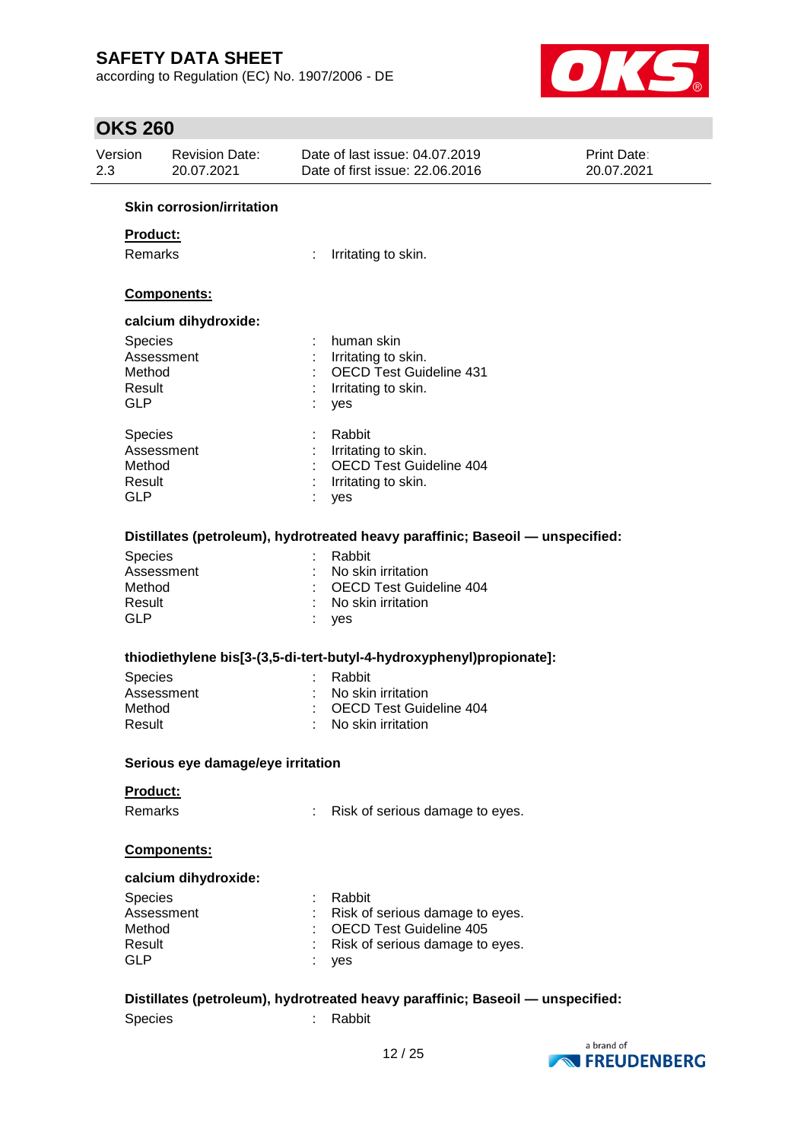according to Regulation (EC) No. 1907/2006 - DE



| Version<br>2.3 | <b>Revision Date:</b><br>20.07.2021 |   | Date of last issue: 04.07.2019<br>Date of first issue: 22.06.2016              | <b>Print Date:</b><br>20.07.2021 |
|----------------|-------------------------------------|---|--------------------------------------------------------------------------------|----------------------------------|
|                | <b>Skin corrosion/irritation</b>    |   |                                                                                |                                  |
| Product:       |                                     |   |                                                                                |                                  |
| <b>Remarks</b> |                                     | ÷ | Irritating to skin.                                                            |                                  |
|                |                                     |   |                                                                                |                                  |
|                | Components:                         |   |                                                                                |                                  |
|                | calcium dihydroxide:                |   |                                                                                |                                  |
| <b>Species</b> |                                     |   | human skin                                                                     |                                  |
|                | Assessment                          |   | Irritating to skin.                                                            |                                  |
| Method         |                                     |   | <b>OECD Test Guideline 431</b>                                                 |                                  |
| Result         |                                     |   | Irritating to skin.                                                            |                                  |
| <b>GLP</b>     |                                     |   | yes                                                                            |                                  |
| <b>Species</b> |                                     |   | Rabbit                                                                         |                                  |
|                | Assessment                          |   | Irritating to skin.                                                            |                                  |
| Method         |                                     |   | <b>OECD Test Guideline 404</b>                                                 |                                  |
| Result         |                                     |   | Irritating to skin.                                                            |                                  |
| <b>GLP</b>     |                                     |   | yes                                                                            |                                  |
|                |                                     |   |                                                                                |                                  |
|                |                                     |   | Distillates (petroleum), hydrotreated heavy paraffinic; Baseoil - unspecified: |                                  |
| <b>Species</b> |                                     |   | Rabbit                                                                         |                                  |
|                | Assessment                          |   | No skin irritation                                                             |                                  |
| Method         |                                     |   | <b>OECD Test Guideline 404</b>                                                 |                                  |
| Result         |                                     |   | No skin irritation                                                             |                                  |
| <b>GLP</b>     |                                     |   | yes                                                                            |                                  |
|                |                                     |   | thiodiethylene bis[3-(3,5-di-tert-butyl-4-hydroxyphenyl)propionate]:           |                                  |
| <b>Species</b> |                                     |   | Rabbit                                                                         |                                  |
|                | Assessment                          |   | No skin irritation                                                             |                                  |
| Method         |                                     |   | <b>OECD Test Guideline 404</b>                                                 |                                  |
| Result         |                                     |   | No skin irritation                                                             |                                  |
|                |                                     |   |                                                                                |                                  |
|                | Serious eye damage/eye irritation   |   |                                                                                |                                  |
| Product:       |                                     |   |                                                                                |                                  |
| Remarks        |                                     |   | Risk of serious damage to eyes.                                                |                                  |
|                | Components:                         |   |                                                                                |                                  |
|                | calcium dihydroxide:                |   |                                                                                |                                  |
|                |                                     |   |                                                                                |                                  |
| <b>Species</b> | Assessment                          |   | Rabbit                                                                         |                                  |
| Method         |                                     |   | Risk of serious damage to eyes.<br><b>OECD Test Guideline 405</b>              |                                  |
| Result         |                                     |   | Risk of serious damage to eyes.                                                |                                  |
| <b>GLP</b>     |                                     |   |                                                                                |                                  |
|                |                                     |   | yes                                                                            |                                  |
|                |                                     |   | Distillates (petroleum), hydrotreated heavy paraffinic; Baseoil - unspecified: |                                  |
| <b>Species</b> |                                     |   | Rabbit                                                                         |                                  |
|                |                                     |   |                                                                                |                                  |

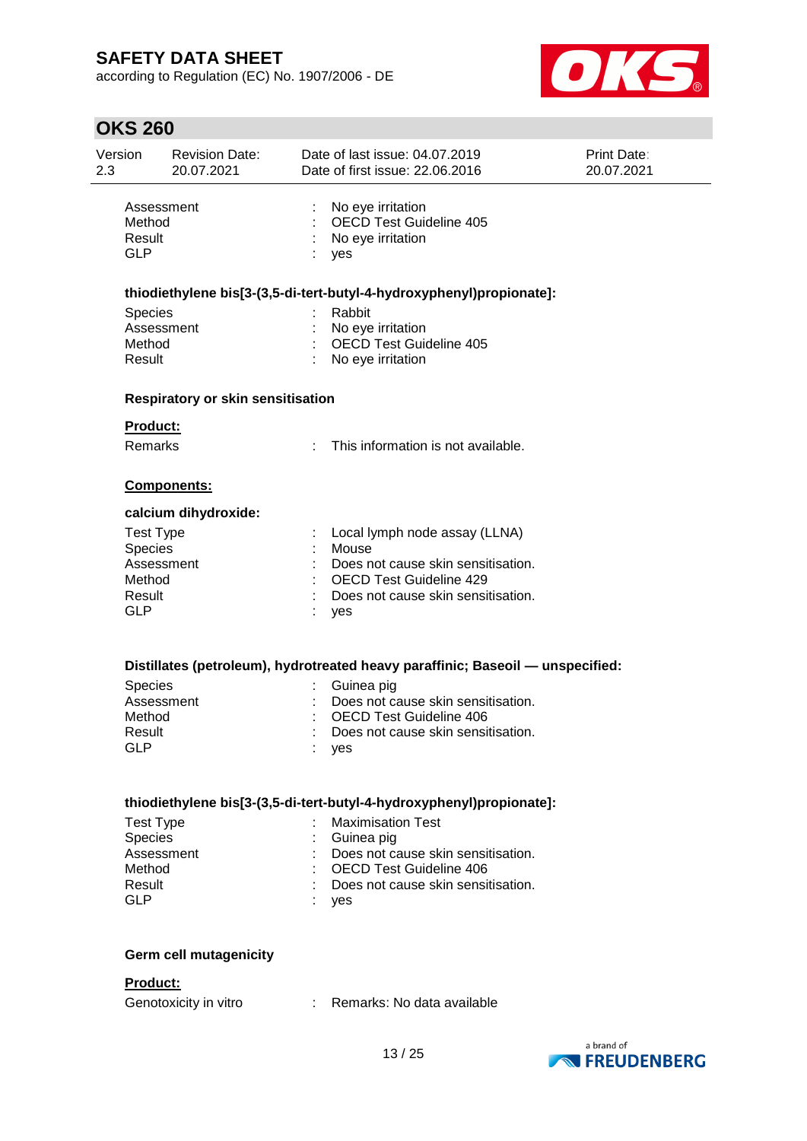according to Regulation (EC) No. 1907/2006 - DE



| Print Date:<br>20.07.2021                                                      |  |
|--------------------------------------------------------------------------------|--|
|                                                                                |  |
|                                                                                |  |
|                                                                                |  |
|                                                                                |  |
|                                                                                |  |
|                                                                                |  |
|                                                                                |  |
|                                                                                |  |
|                                                                                |  |
|                                                                                |  |
|                                                                                |  |
|                                                                                |  |
|                                                                                |  |
|                                                                                |  |
|                                                                                |  |
|                                                                                |  |
| Distillates (petroleum), hydrotreated heavy paraffinic; Baseoil — unspecified: |  |
|                                                                                |  |
|                                                                                |  |
|                                                                                |  |
|                                                                                |  |
|                                                                                |  |
|                                                                                |  |
|                                                                                |  |
|                                                                                |  |
|                                                                                |  |
|                                                                                |  |
|                                                                                |  |
|                                                                                |  |
|                                                                                |  |
|                                                                                |  |
|                                                                                |  |

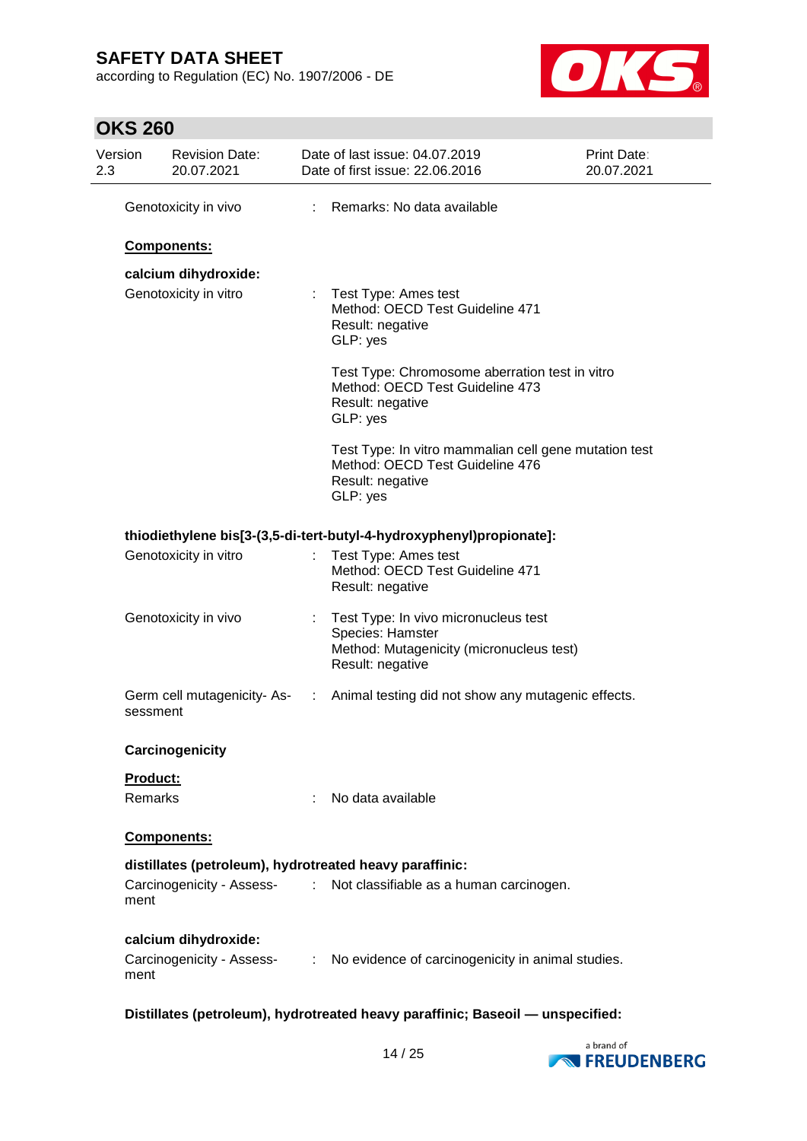according to Regulation (EC) No. 1907/2006 - DE



# **OKS 260**

| Version         | <b>Revision Date:</b><br>20.07.2021 |   | Date of last issue: 04.07.2019<br>Date of first issue: 22.06.2016                                                        | <b>Print Date:</b><br>20.07.2021 |  |
|-----------------|-------------------------------------|---|--------------------------------------------------------------------------------------------------------------------------|----------------------------------|--|
|                 | Genotoxicity in vivo                | ÷ | Remarks: No data available                                                                                               |                                  |  |
|                 | Components:                         |   |                                                                                                                          |                                  |  |
|                 | calcium dihydroxide:                |   |                                                                                                                          |                                  |  |
|                 | Genotoxicity in vitro               |   | Test Type: Ames test<br>Method: OECD Test Guideline 471<br>Result: negative<br>GLP: yes                                  |                                  |  |
|                 |                                     |   | Test Type: Chromosome aberration test in vitro<br>Method: OECD Test Guideline 473<br>Result: negative<br>GLP: yes        |                                  |  |
|                 |                                     |   | Test Type: In vitro mammalian cell gene mutation test<br>Method: OECD Test Guideline 476<br>Result: negative<br>GLP: yes |                                  |  |
|                 |                                     |   | thiodiethylene bis[3-(3,5-di-tert-butyl-4-hydroxyphenyl)propionate]:                                                     |                                  |  |
|                 | Genotoxicity in vitro               |   | Test Type: Ames test<br>Method: OECD Test Guideline 471<br>Result: negative                                              |                                  |  |
|                 | Genotoxicity in vivo                |   | Test Type: In vivo micronucleus test<br>Species: Hamster<br>Method: Mutagenicity (micronucleus test)<br>Result: negative |                                  |  |
| sessment        | Germ cell mutagenicity-As-          |   | : Animal testing did not show any mutagenic effects.                                                                     |                                  |  |
|                 | Carcinogenicity                     |   |                                                                                                                          |                                  |  |
| <b>Product:</b> |                                     |   |                                                                                                                          |                                  |  |
| Remarks         |                                     |   | No data available                                                                                                        |                                  |  |
|                 | Components:                         |   |                                                                                                                          |                                  |  |
|                 |                                     |   | distillates (petroleum), hydrotreated heavy paraffinic:                                                                  |                                  |  |
| ment            | Carcinogenicity - Assess-           |   | : Not classifiable as a human carcinogen.                                                                                |                                  |  |
|                 | calcium dihydroxide:                |   |                                                                                                                          |                                  |  |
| ment            |                                     |   | Carcinogenicity - Assess- : No evidence of carcinogenicity in animal studies.                                            |                                  |  |

**Distillates (petroleum), hydrotreated heavy paraffinic; Baseoil — unspecified:**

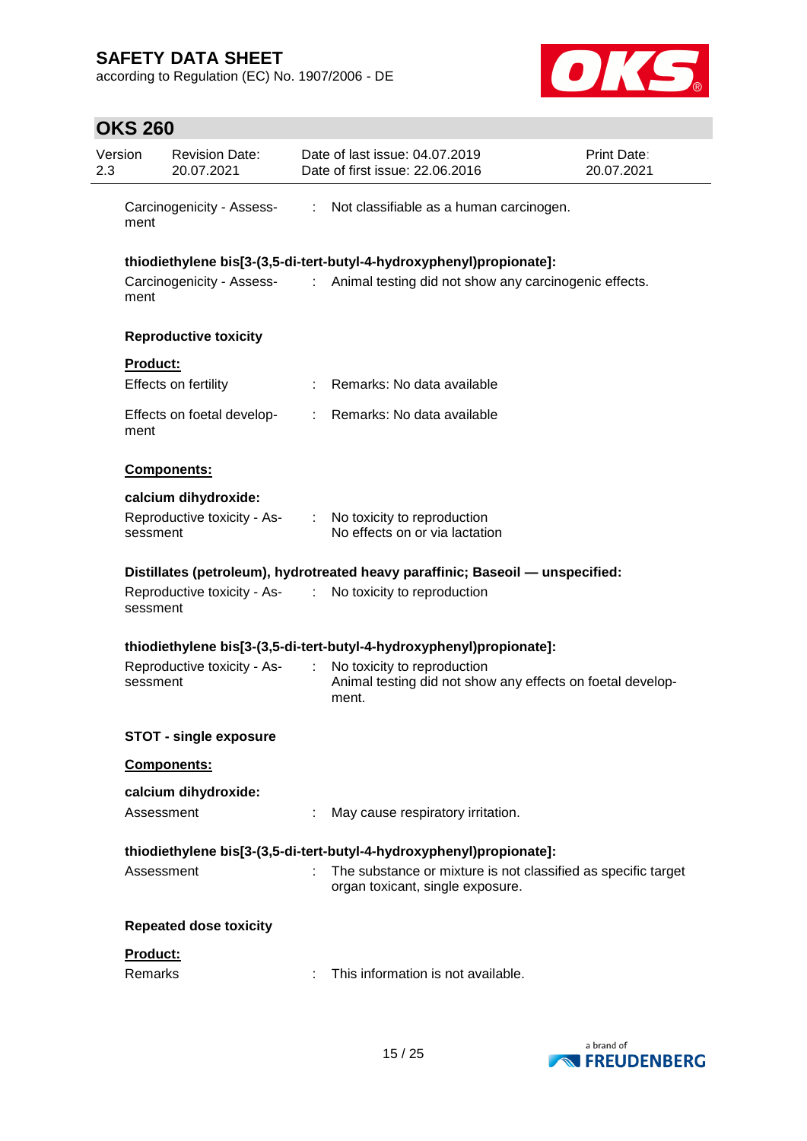according to Regulation (EC) No. 1907/2006 - DE



| Version<br>2.3 |                 | <b>Revision Date:</b><br>20.07.2021 | Date of last issue: 04.07.2019<br>Date of first issue: 22.06.2016 | Print Date:<br>20.07.2021                                                                                                                                 |  |
|----------------|-----------------|-------------------------------------|-------------------------------------------------------------------|-----------------------------------------------------------------------------------------------------------------------------------------------------------|--|
|                | ment            | Carcinogenicity - Assess-           | $\mathcal{L}_{\mathcal{A}}$                                       | Not classifiable as a human carcinogen.                                                                                                                   |  |
|                | ment            |                                     |                                                                   | thiodiethylene bis[3-(3,5-di-tert-butyl-4-hydroxyphenyl)propionate]:<br>Carcinogenicity - Assess- : Animal testing did not show any carcinogenic effects. |  |
|                |                 | <b>Reproductive toxicity</b>        |                                                                   |                                                                                                                                                           |  |
|                | <b>Product:</b> |                                     |                                                                   |                                                                                                                                                           |  |
|                |                 | Effects on fertility                |                                                                   | Remarks: No data available                                                                                                                                |  |
|                | ment            | Effects on foetal develop-          |                                                                   | : Remarks: No data available                                                                                                                              |  |
|                |                 | Components:                         |                                                                   |                                                                                                                                                           |  |
|                |                 | calcium dihydroxide:                |                                                                   |                                                                                                                                                           |  |
|                | sessment        | Reproductive toxicity - As-         | $\mathcal{I}^{\mathcal{I}}$ .                                     | No toxicity to reproduction<br>No effects on or via lactation                                                                                             |  |
|                |                 |                                     |                                                                   | Distillates (petroleum), hydrotreated heavy paraffinic; Baseoil — unspecified:                                                                            |  |
|                | sessment        |                                     |                                                                   | Reproductive toxicity - As- : No toxicity to reproduction                                                                                                 |  |
|                |                 |                                     |                                                                   | thiodiethylene bis[3-(3,5-di-tert-butyl-4-hydroxyphenyl)propionate]:                                                                                      |  |
|                | sessment        | Reproductive toxicity - As-         | $\mathcal{L}_{\mathcal{A}}$                                       | No toxicity to reproduction<br>Animal testing did not show any effects on foetal develop-<br>ment.                                                        |  |
|                |                 | <b>STOT - single exposure</b>       |                                                                   |                                                                                                                                                           |  |
|                |                 | <b>Components:</b>                  |                                                                   |                                                                                                                                                           |  |
|                |                 | calcium dihydroxide:                |                                                                   |                                                                                                                                                           |  |
|                | Assessment      |                                     |                                                                   | May cause respiratory irritation.                                                                                                                         |  |
|                | Assessment      |                                     |                                                                   | thiodiethylene bis[3-(3,5-di-tert-butyl-4-hydroxyphenyl)propionate]:                                                                                      |  |
|                |                 |                                     |                                                                   | The substance or mixture is not classified as specific target<br>organ toxicant, single exposure.                                                         |  |
|                |                 | <b>Repeated dose toxicity</b>       |                                                                   |                                                                                                                                                           |  |
|                | <b>Product:</b> |                                     |                                                                   |                                                                                                                                                           |  |
|                | <b>Remarks</b>  |                                     |                                                                   | This information is not available.                                                                                                                        |  |

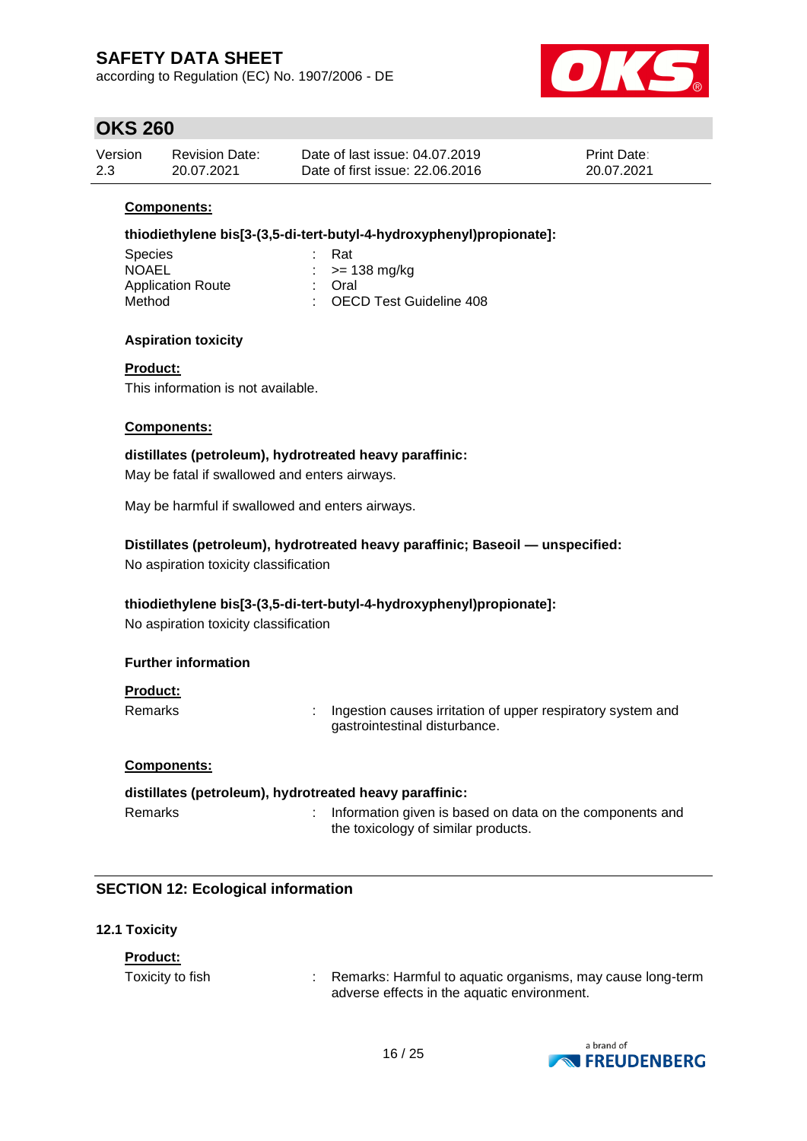according to Regulation (EC) No. 1907/2006 - DE



## **OKS 260**

| Version | <b>Revision Date:</b> | Date of last issue: 04.07.2019  | <b>Print Date:</b> |
|---------|-----------------------|---------------------------------|--------------------|
| 2.3     | 20.07.2021            | Date of first issue: 22,06,2016 | 20.07.2021         |

### **Components:**

### **thiodiethylene bis[3-(3,5-di-tert-butyl-4-hydroxyphenyl)propionate]:**

| ∴ Rat                     |
|---------------------------|
| $\therefore$ >= 138 mg/kg |
| : Oral                    |
| : OECD Test Guideline 408 |
|                           |

### **Aspiration toxicity**

### **Product:**

This information is not available.

#### **Components:**

**distillates (petroleum), hydrotreated heavy paraffinic:** May be fatal if swallowed and enters airways.

May be harmful if swallowed and enters airways.

### **Distillates (petroleum), hydrotreated heavy paraffinic; Baseoil — unspecified:**

No aspiration toxicity classification

### **thiodiethylene bis[3-(3,5-di-tert-butyl-4-hydroxyphenyl)propionate]:**

No aspiration toxicity classification

### **Further information**

### **Product:**

Remarks : Ingestion causes irritation of upper respiratory system and gastrointestinal disturbance.

### **Components:**

## **distillates (petroleum), hydrotreated heavy paraffinic:** Remarks : Information given is based on data on the components and the toxicology of similar products.

### **SECTION 12: Ecological information**

### **12.1 Toxicity**

### **Product:**

Toxicity to fish  $\cdot$  Remarks: Harmful to aquatic organisms, may cause long-term adverse effects in the aquatic environment.

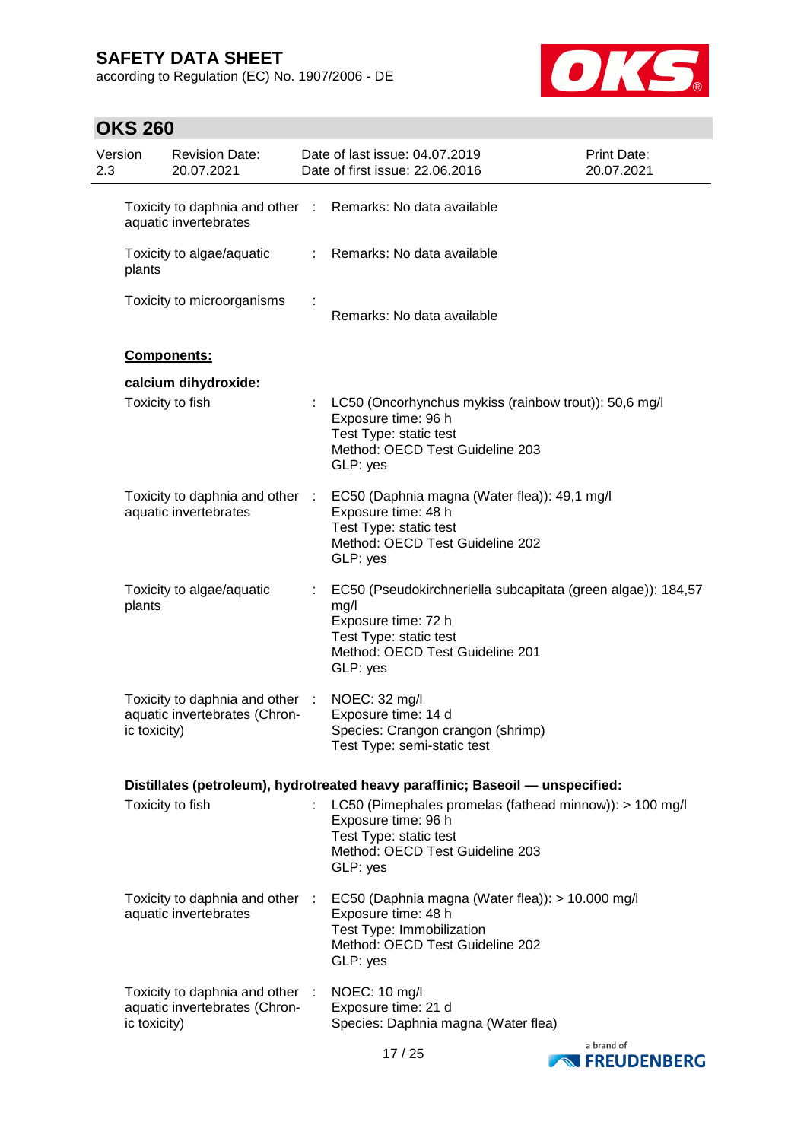according to Regulation (EC) No. 1907/2006 - DE



| 2.3 | Version<br><b>Revision Date:</b><br>20.07.2021 |                                                                  |    | Date of last issue: 04.07.2019<br>Date of first issue: 22.06.2016                                                                                                    | <b>Print Date:</b><br>20.07.2021 |
|-----|------------------------------------------------|------------------------------------------------------------------|----|----------------------------------------------------------------------------------------------------------------------------------------------------------------------|----------------------------------|
|     |                                                | aquatic invertebrates                                            |    | Toxicity to daphnia and other : Remarks: No data available                                                                                                           |                                  |
|     | plants                                         | Toxicity to algae/aquatic                                        | t. | Remarks: No data available                                                                                                                                           |                                  |
|     |                                                | Toxicity to microorganisms                                       |    | Remarks: No data available                                                                                                                                           |                                  |
|     |                                                | Components:                                                      |    |                                                                                                                                                                      |                                  |
|     |                                                | calcium dihydroxide:                                             |    |                                                                                                                                                                      |                                  |
|     |                                                | Toxicity to fish                                                 |    | LC50 (Oncorhynchus mykiss (rainbow trout)): 50,6 mg/l<br>Exposure time: 96 h<br>Test Type: static test<br>Method: OECD Test Guideline 203<br>GLP: yes                |                                  |
|     |                                                | Toxicity to daphnia and other :<br>aquatic invertebrates         |    | EC50 (Daphnia magna (Water flea)): 49,1 mg/l<br>Exposure time: 48 h<br>Test Type: static test<br>Method: OECD Test Guideline 202<br>GLP: yes                         |                                  |
|     | plants                                         | Toxicity to algae/aquatic                                        |    | EC50 (Pseudokirchneriella subcapitata (green algae)): 184,57<br>mg/l<br>Exposure time: 72 h<br>Test Type: static test<br>Method: OECD Test Guideline 201<br>GLP: yes |                                  |
|     | ic toxicity)                                   | Toxicity to daphnia and other :<br>aquatic invertebrates (Chron- |    | NOEC: 32 mg/l<br>Exposure time: 14 d<br>Species: Crangon crangon (shrimp)<br>Test Type: semi-static test                                                             |                                  |
|     |                                                |                                                                  |    | Distillates (petroleum), hydrotreated heavy paraffinic; Baseoil - unspecified:                                                                                       |                                  |
|     |                                                | Toxicity to fish                                                 |    | LC50 (Pimephales promelas (fathead minnow)): > 100 mg/l<br>Exposure time: 96 h<br>Test Type: static test<br>Method: OECD Test Guideline 203<br>GLP: yes              |                                  |
|     |                                                | Toxicity to daphnia and other :<br>aquatic invertebrates         |    | EC50 (Daphnia magna (Water flea)): > 10.000 mg/l<br>Exposure time: 48 h<br>Test Type: Immobilization<br>Method: OECD Test Guideline 202<br>GLP: yes                  |                                  |
|     | ic toxicity)                                   | Toxicity to daphnia and other :<br>aquatic invertebrates (Chron- |    | NOEC: 10 mg/l<br>Exposure time: 21 d<br>Species: Daphnia magna (Water flea)                                                                                          |                                  |



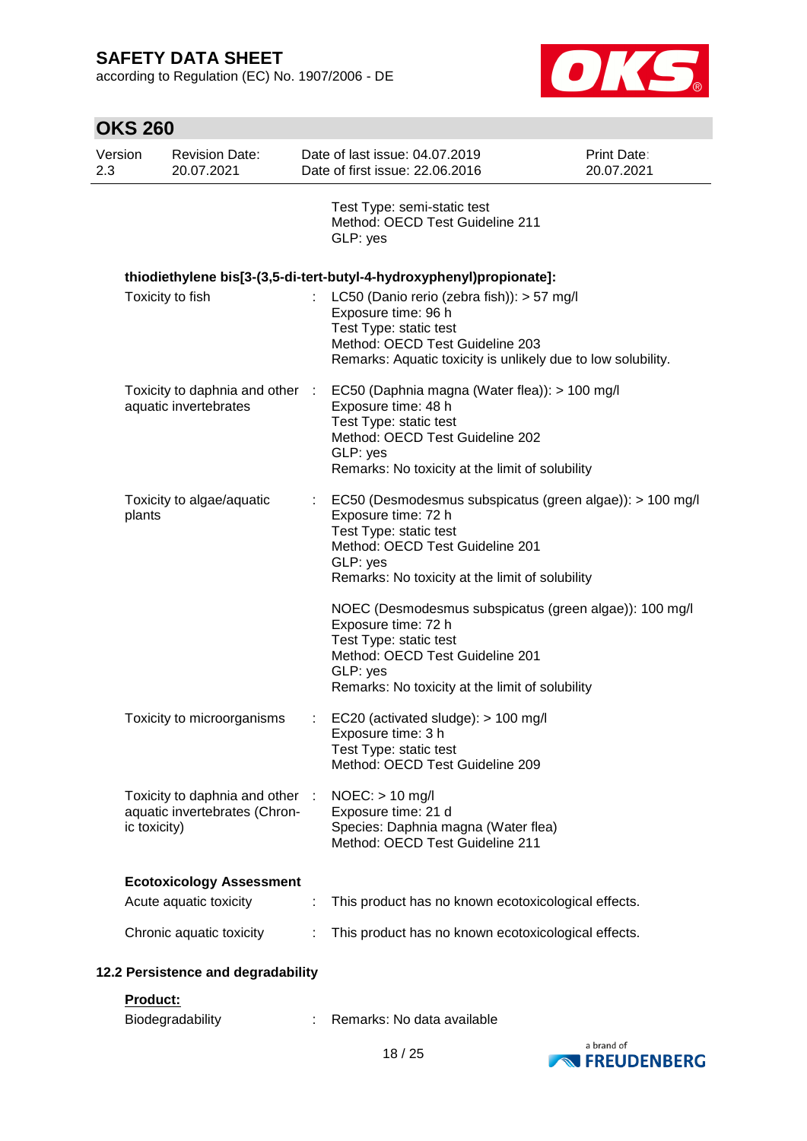**OKS 260**

according to Regulation (EC) No. 1907/2006 - DE



| Version<br>2.3 | <b>Revision Date:</b><br>20.07.2021                            |   | Date of last issue: 04.07.2019<br>Date of first issue: 22.06.2016                                                                                                                                           | Print Date:<br>20.07.2021 |
|----------------|----------------------------------------------------------------|---|-------------------------------------------------------------------------------------------------------------------------------------------------------------------------------------------------------------|---------------------------|
|                |                                                                |   | Test Type: semi-static test<br>Method: OECD Test Guideline 211<br>GLP: yes                                                                                                                                  |                           |
|                |                                                                |   | thiodiethylene bis[3-(3,5-di-tert-butyl-4-hydroxyphenyl)propionate]:                                                                                                                                        |                           |
|                | Toxicity to fish                                               |   | : LC50 (Danio rerio (zebra fish)): $> 57$ mg/l<br>Exposure time: 96 h<br>Test Type: static test<br>Method: OECD Test Guideline 203<br>Remarks: Aquatic toxicity is unlikely due to low solubility.          |                           |
|                | Toxicity to daphnia and other :<br>aquatic invertebrates       |   | EC50 (Daphnia magna (Water flea)): > 100 mg/l<br>Exposure time: 48 h<br>Test Type: static test<br>Method: OECD Test Guideline 202<br>GLP: yes<br>Remarks: No toxicity at the limit of solubility            |                           |
| plants         | Toxicity to algae/aquatic                                      |   | EC50 (Desmodesmus subspicatus (green algae)): > 100 mg/l<br>Exposure time: 72 h<br>Test Type: static test<br>Method: OECD Test Guideline 201<br>GLP: yes<br>Remarks: No toxicity at the limit of solubility |                           |
|                |                                                                |   | NOEC (Desmodesmus subspicatus (green algae)): 100 mg/l<br>Exposure time: 72 h<br>Test Type: static test<br>Method: OECD Test Guideline 201<br>GLP: yes<br>Remarks: No toxicity at the limit of solubility   |                           |
|                | Toxicity to microorganisms                                     |   | EC20 (activated sludge): > 100 mg/l<br>Exposure time: 3 h<br>Test Type: static test<br>Method: OECD Test Guideline 209                                                                                      |                           |
| ic toxicity)   | Toxicity to daphnia and other<br>aquatic invertebrates (Chron- | ÷ | $NOEC:$ > 10 mg/l<br>Exposure time: 21 d<br>Species: Daphnia magna (Water flea)<br>Method: OECD Test Guideline 211                                                                                          |                           |
|                | <b>Ecotoxicology Assessment</b>                                |   |                                                                                                                                                                                                             |                           |
|                | Acute aquatic toxicity                                         | ÷ | This product has no known ecotoxicological effects.                                                                                                                                                         |                           |
|                | Chronic aquatic toxicity                                       |   | This product has no known ecotoxicological effects.                                                                                                                                                         |                           |
|                | 12.2 Persistence and degradability                             |   |                                                                                                                                                                                                             |                           |

### **Product:**

| Biodegradability |  | Remarks: No data available |  |  |
|------------------|--|----------------------------|--|--|
|                  |  |                            |  |  |

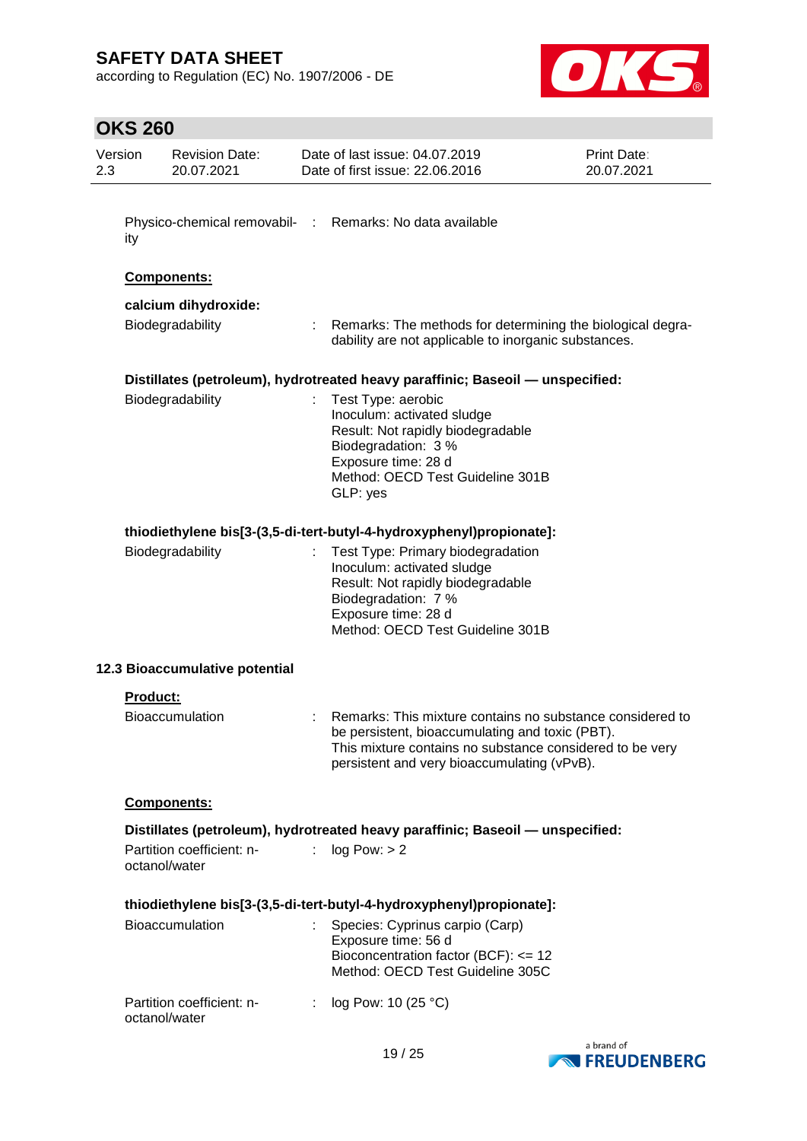according to Regulation (EC) No. 1907/2006 - DE



| Version<br>2.3 |                 | <b>Revision Date:</b><br>20.07.2021        | Date of last issue: 04.07.2019<br>Date of first issue: 22,06,2016                                                                                                                                                       | Print Date:<br>20.07.2021 |
|----------------|-----------------|--------------------------------------------|-------------------------------------------------------------------------------------------------------------------------------------------------------------------------------------------------------------------------|---------------------------|
|                |                 |                                            |                                                                                                                                                                                                                         |                           |
|                | ity             |                                            | Physico-chemical removabil- : Remarks: No data available                                                                                                                                                                |                           |
|                |                 | Components:                                |                                                                                                                                                                                                                         |                           |
|                |                 | calcium dihydroxide:                       |                                                                                                                                                                                                                         |                           |
|                |                 | Biodegradability                           | Remarks: The methods for determining the biological degra-<br>dability are not applicable to inorganic substances.                                                                                                      |                           |
|                |                 |                                            | Distillates (petroleum), hydrotreated heavy paraffinic; Baseoil - unspecified:                                                                                                                                          |                           |
|                |                 | Biodegradability                           | Test Type: aerobic<br>Inoculum: activated sludge<br>Result: Not rapidly biodegradable<br>Biodegradation: 3 %<br>Exposure time: 28 d<br>Method: OECD Test Guideline 301B<br>GLP: yes                                     |                           |
|                |                 |                                            | thiodiethylene bis[3-(3,5-di-tert-butyl-4-hydroxyphenyl)propionate]:                                                                                                                                                    |                           |
|                |                 | Biodegradability                           | Test Type: Primary biodegradation<br>Inoculum: activated sludge<br>Result: Not rapidly biodegradable<br>Biodegradation: 7 %<br>Exposure time: 28 d<br>Method: OECD Test Guideline 301B                                  |                           |
|                |                 | 12.3 Bioaccumulative potential             |                                                                                                                                                                                                                         |                           |
|                | <b>Product:</b> |                                            |                                                                                                                                                                                                                         |                           |
|                |                 | <b>Bioaccumulation</b>                     | Remarks: This mixture contains no substance considered to<br>be persistent, bioaccumulating and toxic (PBT).<br>This mixture contains no substance considered to be very<br>persistent and very bioaccumulating (vPvB). |                           |
|                |                 | Components:                                |                                                                                                                                                                                                                         |                           |
|                |                 |                                            | Distillates (petroleum), hydrotreated heavy paraffinic; Baseoil — unspecified:                                                                                                                                          |                           |
|                |                 | Partition coefficient: n-<br>octanol/water | log Pow: > 2                                                                                                                                                                                                            |                           |
|                |                 |                                            | thiodiethylene bis[3-(3,5-di-tert-butyl-4-hydroxyphenyl)propionate]:                                                                                                                                                    |                           |
|                |                 | Bioaccumulation                            | Species: Cyprinus carpio (Carp)<br>Exposure time: 56 d                                                                                                                                                                  |                           |
|                |                 |                                            | Bioconcentration factor (BCF): <= 12<br>Method: OECD Test Guideline 305C                                                                                                                                                |                           |
|                |                 | Partition coefficient: n-<br>octanol/water | log Pow: 10 (25 °C)                                                                                                                                                                                                     |                           |

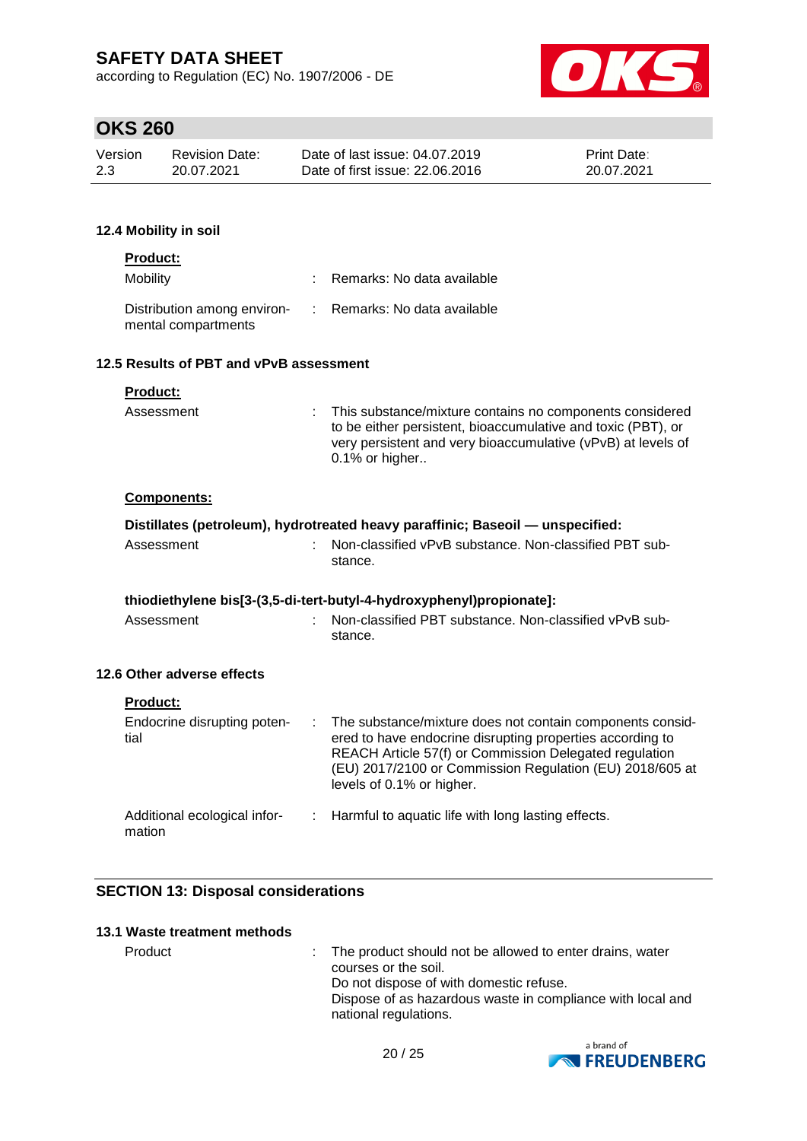according to Regulation (EC) No. 1907/2006 - DE



## **OKS 260**

| Version | Revision Date: | Date of last issue: 04.07.2019  | <b>Print Date:</b> |
|---------|----------------|---------------------------------|--------------------|
| 2.3     | 20.07.2021     | Date of first issue: 22.06.2016 | 20.07.2021         |

### **12.4 Mobility in soil**

| <b>Product:</b>                                                                 |                                                                                                                                                                                                                 |
|---------------------------------------------------------------------------------|-----------------------------------------------------------------------------------------------------------------------------------------------------------------------------------------------------------------|
| Mobility                                                                        | : Remarks: No data available                                                                                                                                                                                    |
| Distribution among environ- : Remarks: No data available<br>mental compartments |                                                                                                                                                                                                                 |
| 12.5 Results of PBT and vPvB assessment                                         |                                                                                                                                                                                                                 |
| <b>Product:</b>                                                                 |                                                                                                                                                                                                                 |
| Assessment                                                                      | : This substance/mixture contains no components considered<br>to be either persistent, bioaccumulative and toxic (PBT), or<br>very persistent and very bioaccumulative (vPvB) at levels of<br>$0.1\%$ or higher |
| Components:                                                                     |                                                                                                                                                                                                                 |
|                                                                                 | Distillates (petroleum), hydrotreated heavy paraffinic; Baseoil — unspecified:                                                                                                                                  |
| Assessment                                                                      | Non-classified vPvB substance. Non-classified PBT sub-<br>stance.                                                                                                                                               |
|                                                                                 | thiodiethylene bis[3-(3,5-di-tert-butyl-4-hydroxyphenyl)propionate]:                                                                                                                                            |
| Assessment                                                                      | : Non-classified PBT substance, Non-classified vPvB sub-<br>stance.                                                                                                                                             |

### **12.6 Other adverse effects**

| <b>Product:</b>                        |                                                                                                                                                                                                                                                                           |
|----------------------------------------|---------------------------------------------------------------------------------------------------------------------------------------------------------------------------------------------------------------------------------------------------------------------------|
| Endocrine disrupting poten-<br>tial    | The substance/mixture does not contain components consid-<br>ered to have endocrine disrupting properties according to<br>REACH Article 57(f) or Commission Delegated regulation<br>(EU) 2017/2100 or Commission Regulation (EU) 2018/605 at<br>levels of 0.1% or higher. |
| Additional ecological infor-<br>mation | : Harmful to aquatic life with long lasting effects.                                                                                                                                                                                                                      |

## **SECTION 13: Disposal considerations**

### **13.1 Waste treatment methods**

Product : The product should not be allowed to enter drains, water courses or the soil. Do not dispose of with domestic refuse. Dispose of as hazardous waste in compliance with local and national regulations.

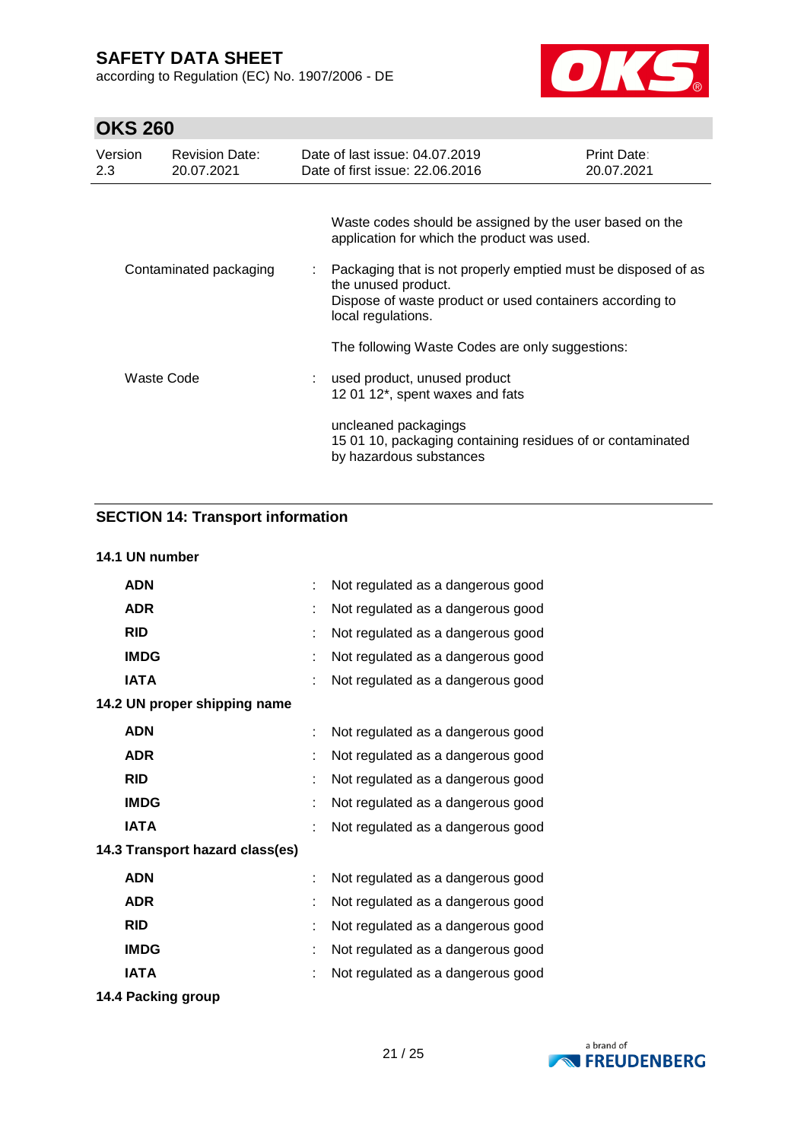according to Regulation (EC) No. 1907/2006 - DE



# **OKS 260**

| Version<br>2.3 | <b>Revision Date:</b><br>20.07.2021 | Date of last issue: 04.07.2019<br>Date of first issue: 22.06.2016                                                                                                      | <b>Print Date:</b><br>20.07.2021 |
|----------------|-------------------------------------|------------------------------------------------------------------------------------------------------------------------------------------------------------------------|----------------------------------|
|                |                                     | Waste codes should be assigned by the user based on the<br>application for which the product was used.                                                                 |                                  |
|                | Contaminated packaging              | Packaging that is not properly emptied must be disposed of as<br>the unused product.<br>Dispose of waste product or used containers according to<br>local regulations. |                                  |
|                |                                     | The following Waste Codes are only suggestions:                                                                                                                        |                                  |
|                | Waste Code                          | : used product, unused product<br>12 01 12*, spent waxes and fats                                                                                                      |                                  |
|                |                                     | uncleaned packagings<br>15 01 10, packaging containing residues of or contaminated<br>by hazardous substances                                                          |                                  |

## **SECTION 14: Transport information**

### **14.1 UN number**

| <b>ADN</b>                      |   | Not regulated as a dangerous good |
|---------------------------------|---|-----------------------------------|
| <b>ADR</b>                      |   | Not regulated as a dangerous good |
| <b>RID</b>                      |   | Not regulated as a dangerous good |
| <b>IMDG</b>                     |   | Not regulated as a dangerous good |
| <b>IATA</b>                     |   | Not regulated as a dangerous good |
| 14.2 UN proper shipping name    |   |                                   |
| <b>ADN</b>                      | t | Not regulated as a dangerous good |
| <b>ADR</b>                      |   | Not regulated as a dangerous good |
| <b>RID</b>                      | t | Not regulated as a dangerous good |
| <b>IMDG</b>                     | t | Not regulated as a dangerous good |
| <b>IATA</b>                     | t | Not regulated as a dangerous good |
| 14.3 Transport hazard class(es) |   |                                   |
| <b>ADN</b>                      | t | Not regulated as a dangerous good |
| <b>ADR</b>                      | ۰ | Not regulated as a dangerous good |
| <b>RID</b>                      | t | Not regulated as a dangerous good |
| <b>IMDG</b>                     |   | Not regulated as a dangerous good |
| <b>IATA</b>                     |   | Not regulated as a dangerous good |
| 14.4 Packing group              |   |                                   |

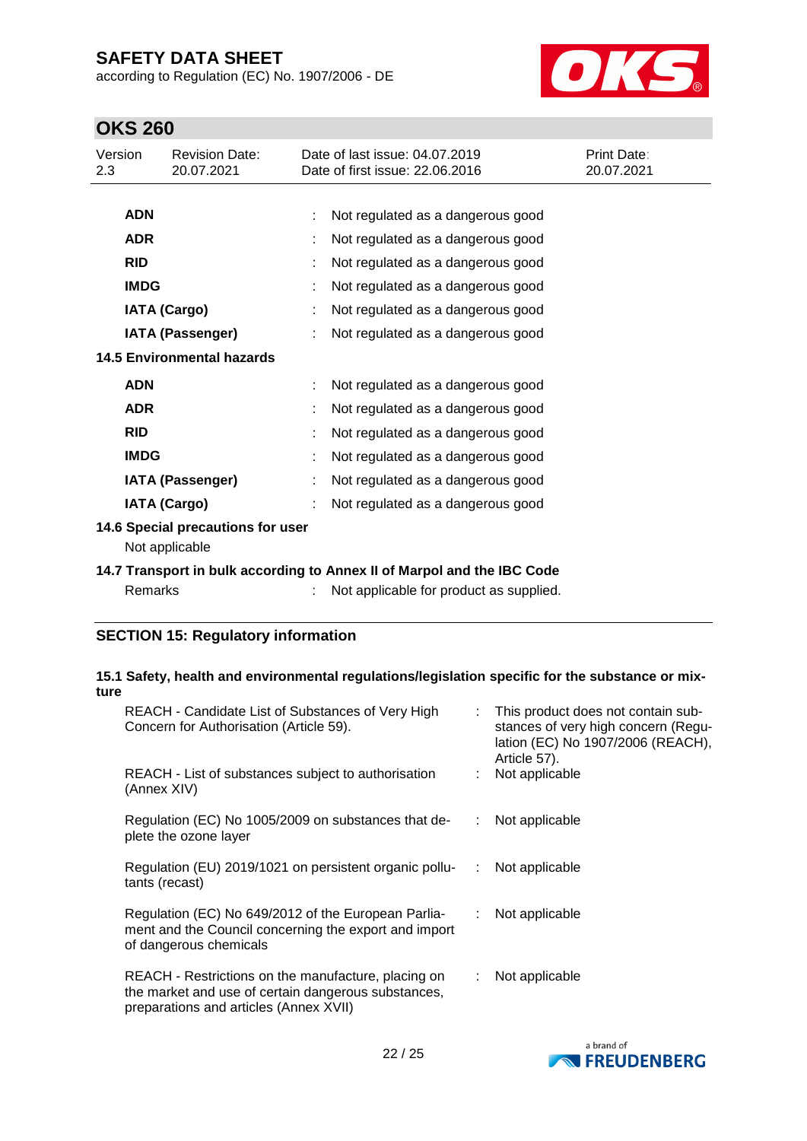according to Regulation (EC) No. 1907/2006 - DE



# **OKS 260**

| Version<br>2.3          |                                                     | <b>Revision Date:</b><br>20.07.2021 |  | Date of last issue: 04.07.2019<br>Date of first issue: 22.06.2016 | Print Date:<br>20.07.2021 |
|-------------------------|-----------------------------------------------------|-------------------------------------|--|-------------------------------------------------------------------|---------------------------|
|                         |                                                     |                                     |  |                                                                   |                           |
|                         | <b>ADN</b>                                          |                                     |  | Not regulated as a dangerous good                                 |                           |
|                         | <b>ADR</b>                                          |                                     |  | Not regulated as a dangerous good                                 |                           |
|                         | <b>RID</b>                                          |                                     |  | Not regulated as a dangerous good                                 |                           |
|                         | <b>IMDG</b>                                         |                                     |  | Not regulated as a dangerous good                                 |                           |
|                         |                                                     | <b>IATA (Cargo)</b>                 |  | Not regulated as a dangerous good                                 |                           |
| <b>IATA (Passenger)</b> |                                                     |                                     |  | Not regulated as a dangerous good                                 |                           |
|                         |                                                     | <b>14.5 Environmental hazards</b>   |  |                                                                   |                           |
|                         | <b>ADN</b>                                          |                                     |  | Not regulated as a dangerous good                                 |                           |
|                         | <b>ADR</b>                                          |                                     |  | Not regulated as a dangerous good                                 |                           |
|                         | <b>RID</b>                                          |                                     |  | Not regulated as a dangerous good                                 |                           |
|                         | <b>IMDG</b>                                         |                                     |  | Not regulated as a dangerous good                                 |                           |
|                         |                                                     | <b>IATA (Passenger)</b>             |  | Not regulated as a dangerous good                                 |                           |
|                         |                                                     | <b>IATA (Cargo)</b>                 |  | Not regulated as a dangerous good                                 |                           |
|                         | 14.6 Special precautions for user<br>Not applicable |                                     |  |                                                                   |                           |

**14.7 Transport in bulk according to Annex II of Marpol and the IBC Code**

| Remarks |  | Not applicable for product as supplied. |
|---------|--|-----------------------------------------|
|---------|--|-----------------------------------------|

## **SECTION 15: Regulatory information**

#### **15.1 Safety, health and environmental regulations/legislation specific for the substance or mixture**

| REACH - Candidate List of Substances of Very High<br>Concern for Authorisation (Article 59).                                                         |    | : This product does not contain sub-<br>stances of very high concern (Regu-<br>lation (EC) No 1907/2006 (REACH),<br>Article 57). |
|------------------------------------------------------------------------------------------------------------------------------------------------------|----|----------------------------------------------------------------------------------------------------------------------------------|
| REACH - List of substances subject to authorisation<br>(Annex XIV)                                                                                   |    | Not applicable                                                                                                                   |
| Regulation (EC) No 1005/2009 on substances that de-<br>plete the ozone layer                                                                         |    | $:$ Not applicable                                                                                                               |
| Regulation (EU) 2019/1021 on persistent organic pollu-<br>tants (recast)                                                                             | ÷. | Not applicable                                                                                                                   |
| Regulation (EC) No 649/2012 of the European Parlia-<br>ment and the Council concerning the export and import<br>of dangerous chemicals               |    | : Not applicable                                                                                                                 |
| REACH - Restrictions on the manufacture, placing on<br>the market and use of certain dangerous substances,<br>preparations and articles (Annex XVII) |    | Not applicable                                                                                                                   |

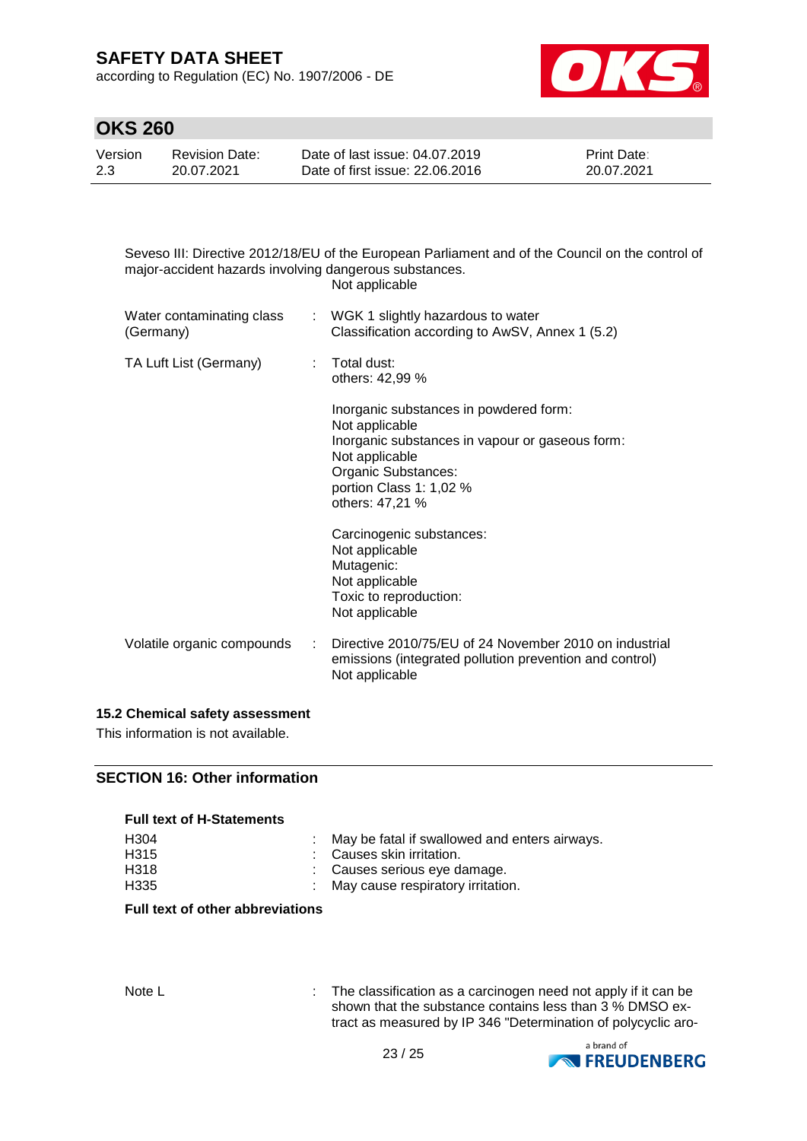according to Regulation (EC) No. 1907/2006 - DE



## **OKS 260**

| Version | Revision Date: | Date of last issue: 04.07.2019  | <b>Print Date:</b> |
|---------|----------------|---------------------------------|--------------------|
| 2.3     | 20.07.2021     | Date of first issue: 22,06,2016 | 20.07.2021         |

Seveso III: Directive 2012/18/EU of the European Parliament and of the Council on the control of major-accident hazards involving dangerous substances. Not applicable

| Water contaminating class<br>(Germany) |                                    | : WGK 1 slightly hazardous to water<br>Classification according to AwSV, Annex 1 (5.2)                                                                                                             |
|----------------------------------------|------------------------------------|----------------------------------------------------------------------------------------------------------------------------------------------------------------------------------------------------|
| TA Luft List (Germany)                 | $:$ Total dust:<br>others: 42,99 % |                                                                                                                                                                                                    |
|                                        |                                    | Inorganic substances in powdered form:<br>Not applicable<br>Inorganic substances in vapour or gaseous form:<br>Not applicable<br>Organic Substances:<br>portion Class 1: 1,02 %<br>others: 47,21 % |
|                                        |                                    | Carcinogenic substances:<br>Not applicable<br>Mutagenic:<br>Not applicable<br>Toxic to reproduction:<br>Not applicable                                                                             |
| Volatile organic compounds             | ÷.                                 | Directive 2010/75/EU of 24 November 2010 on industrial<br>emissions (integrated pollution prevention and control)<br>Not applicable                                                                |

#### **15.2 Chemical safety assessment**

This information is not available.

### **SECTION 16: Other information**

#### **Full text of H-Statements**

| H304 | May be fatal if swallowed and enters airways. |
|------|-----------------------------------------------|
| H315 | : Causes skin irritation.                     |
| H318 | : Causes serious eve damage.                  |
| H335 | : May cause respiratory irritation.           |

#### **Full text of other abbreviations**

Note L **interest in the classification as a carcinogen need not apply if it can be** shown that the substance contains less than 3 % DMSO extract as measured by IP 346 "Determination of polycyclic aro-

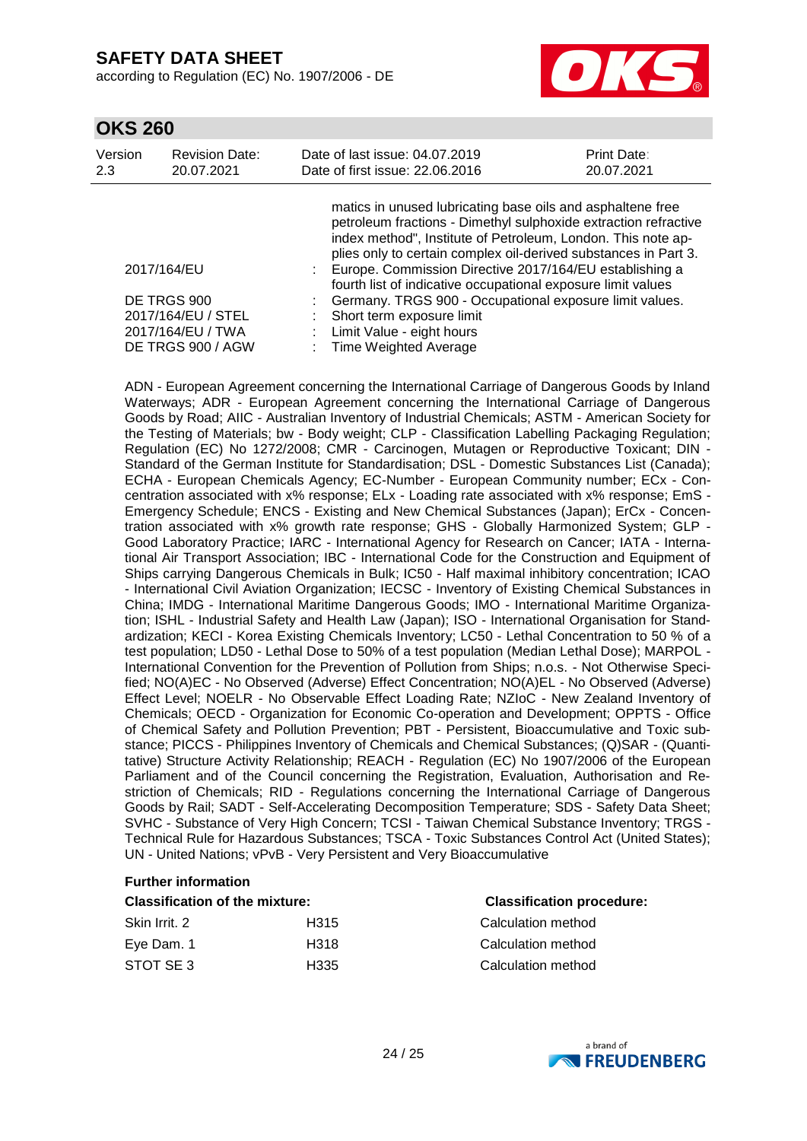according to Regulation (EC) No. 1907/2006 - DE



| Version | <b>Revision Date:</b>                                                                      | Date of last issue: 04.07.2019                                                                                                                                                                                                                                                                                                                                                                                                                                                                                                              | Print Date: |
|---------|--------------------------------------------------------------------------------------------|---------------------------------------------------------------------------------------------------------------------------------------------------------------------------------------------------------------------------------------------------------------------------------------------------------------------------------------------------------------------------------------------------------------------------------------------------------------------------------------------------------------------------------------------|-------------|
| 2.3     | 20.07.2021                                                                                 | Date of first issue: 22.06.2016                                                                                                                                                                                                                                                                                                                                                                                                                                                                                                             | 20.07.2021  |
|         | 2017/164/EU<br>DE TRGS 900<br>2017/164/EU / STEL<br>2017/164/EU / TWA<br>DE TRGS 900 / AGW | matics in unused lubricating base oils and asphaltene free<br>petroleum fractions - Dimethyl sulphoxide extraction refractive<br>index method", Institute of Petroleum, London. This note ap-<br>plies only to certain complex oil-derived substances in Part 3.<br>Europe. Commission Directive 2017/164/EU establishing a<br>fourth list of indicative occupational exposure limit values<br>Germany. TRGS 900 - Occupational exposure limit values.<br>Short term exposure limit<br>Limit Value - eight hours<br>: Time Weighted Average |             |

ADN - European Agreement concerning the International Carriage of Dangerous Goods by Inland Waterways; ADR - European Agreement concerning the International Carriage of Dangerous Goods by Road; AIIC - Australian Inventory of Industrial Chemicals; ASTM - American Society for the Testing of Materials; bw - Body weight; CLP - Classification Labelling Packaging Regulation; Regulation (EC) No 1272/2008; CMR - Carcinogen, Mutagen or Reproductive Toxicant; DIN - Standard of the German Institute for Standardisation; DSL - Domestic Substances List (Canada); ECHA - European Chemicals Agency; EC-Number - European Community number; ECx - Concentration associated with x% response; ELx - Loading rate associated with x% response; EmS - Emergency Schedule; ENCS - Existing and New Chemical Substances (Japan); ErCx - Concentration associated with x% growth rate response; GHS - Globally Harmonized System; GLP - Good Laboratory Practice; IARC - International Agency for Research on Cancer; IATA - International Air Transport Association; IBC - International Code for the Construction and Equipment of Ships carrying Dangerous Chemicals in Bulk; IC50 - Half maximal inhibitory concentration; ICAO - International Civil Aviation Organization; IECSC - Inventory of Existing Chemical Substances in China; IMDG - International Maritime Dangerous Goods; IMO - International Maritime Organization; ISHL - Industrial Safety and Health Law (Japan); ISO - International Organisation for Standardization; KECI - Korea Existing Chemicals Inventory; LC50 - Lethal Concentration to 50 % of a test population; LD50 - Lethal Dose to 50% of a test population (Median Lethal Dose); MARPOL - International Convention for the Prevention of Pollution from Ships; n.o.s. - Not Otherwise Specified; NO(A)EC - No Observed (Adverse) Effect Concentration; NO(A)EL - No Observed (Adverse) Effect Level; NOELR - No Observable Effect Loading Rate; NZIoC - New Zealand Inventory of Chemicals; OECD - Organization for Economic Co-operation and Development; OPPTS - Office of Chemical Safety and Pollution Prevention; PBT - Persistent, Bioaccumulative and Toxic substance; PICCS - Philippines Inventory of Chemicals and Chemical Substances; (Q)SAR - (Quantitative) Structure Activity Relationship; REACH - Regulation (EC) No 1907/2006 of the European Parliament and of the Council concerning the Registration, Evaluation, Authorisation and Restriction of Chemicals; RID - Regulations concerning the International Carriage of Dangerous Goods by Rail; SADT - Self-Accelerating Decomposition Temperature; SDS - Safety Data Sheet; SVHC - Substance of Very High Concern; TCSI - Taiwan Chemical Substance Inventory; TRGS - Technical Rule for Hazardous Substances; TSCA - Toxic Substances Control Act (United States); UN - United Nations; vPvB - Very Persistent and Very Bioaccumulative

### **Further information**

### **Classification of the mixture: Classification procedure:**

| Skin Irrit. 2 | H <sub>315</sub> |
|---------------|------------------|
| Eye Dam. 1    | H318             |
| STOT SE3      | H <sub>335</sub> |

**Calculation method** Calculation method **Calculation method**